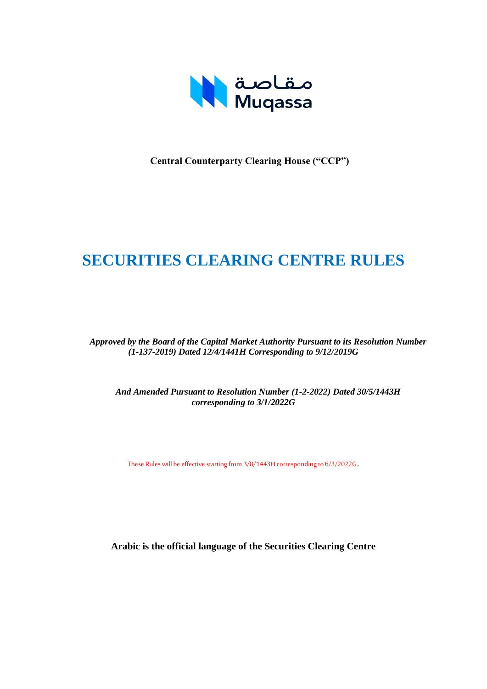

**Central Counterparty Clearing House ("CCP")**

# **SECURITIES CLEARING CENTRE RULES**

*Approved by the Board of the Capital Market Authority Pursuant to its Resolution Number (1-137-2019) Dated 12/4/1441H Corresponding to 9/12/2019G*

*And Amended Pursuant to Resolution Number (1-2-2022) Dated 30/5/1443H corresponding to 3/1/2022G*

These Rules will be effective starting from 3/8/1443H corresponding to 6/3/2022G.

**Arabic is the official language of the Securities Clearing Centre**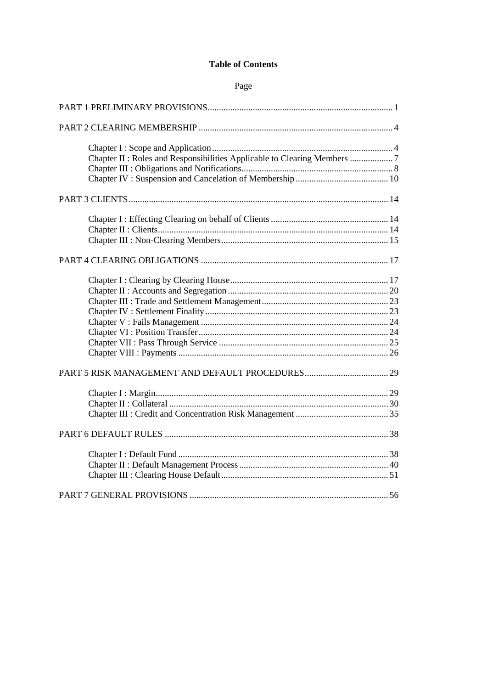## **Table of Contents**

#### Page

| Chapter II : Roles and Responsibilities Applicable to Clearing Members 7 |  |
|--------------------------------------------------------------------------|--|
|                                                                          |  |
|                                                                          |  |
|                                                                          |  |
|                                                                          |  |
|                                                                          |  |
|                                                                          |  |
|                                                                          |  |
|                                                                          |  |
|                                                                          |  |
|                                                                          |  |
|                                                                          |  |
|                                                                          |  |
|                                                                          |  |
|                                                                          |  |
|                                                                          |  |
|                                                                          |  |
|                                                                          |  |
|                                                                          |  |
|                                                                          |  |
|                                                                          |  |
|                                                                          |  |
|                                                                          |  |
|                                                                          |  |
|                                                                          |  |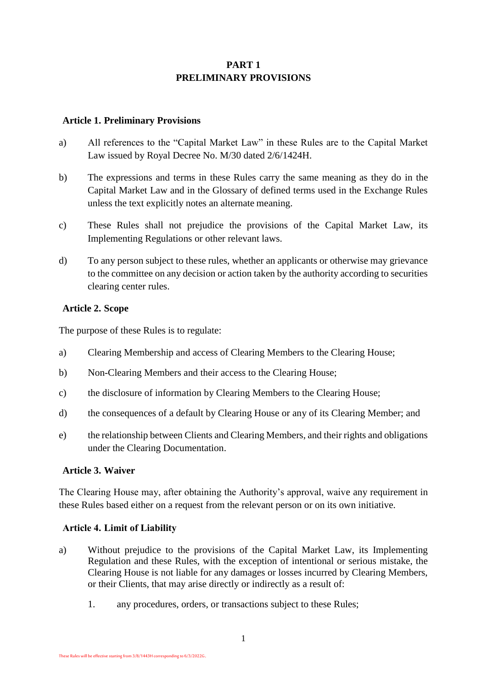## **PART 1 PRELIMINARY PROVISIONS**

#### <span id="page-2-0"></span>**Article 1. Preliminary Provisions**

- a) All references to the "Capital Market Law" in these Rules are to the Capital Market Law issued by Royal Decree No. M/30 dated 2/6/1424H.
- b) The expressions and terms in these Rules carry the same meaning as they do in the Capital Market Law and in the Glossary of defined terms used in the Exchange Rules unless the text explicitly notes an alternate meaning.
- c) These Rules shall not prejudice the provisions of the Capital Market Law, its Implementing Regulations or other relevant laws.
- d) To any person subject to these rules, whether an applicants or otherwise may grievance to the committee on any decision or action taken by the authority according to securities clearing center rules.

#### **Article 2. Scope**

The purpose of these Rules is to regulate:

- a) Clearing Membership and access of Clearing Members to the Clearing House;
- b) Non-Clearing Members and their access to the Clearing House;
- c) the disclosure of information by Clearing Members to the Clearing House;
- d) the consequences of a default by Clearing House or any of its Clearing Member; and
- e) the relationship between Clients and Clearing Members, and their rights and obligations under the Clearing Documentation.

#### **Article 3. Waiver**

The Clearing House may, after obtaining the Authority's approval, waive any requirement in these Rules based either on a request from the relevant person or on its own initiative.

#### **Article 4. Limit of Liability**

- a) Without prejudice to the provisions of the Capital Market Law, its Implementing Regulation and these Rules, with the exception of intentional or serious mistake, the Clearing House is not liable for any damages or losses incurred by Clearing Members, or their Clients, that may arise directly or indirectly as a result of:
	- 1. any procedures, orders, or transactions subject to these Rules;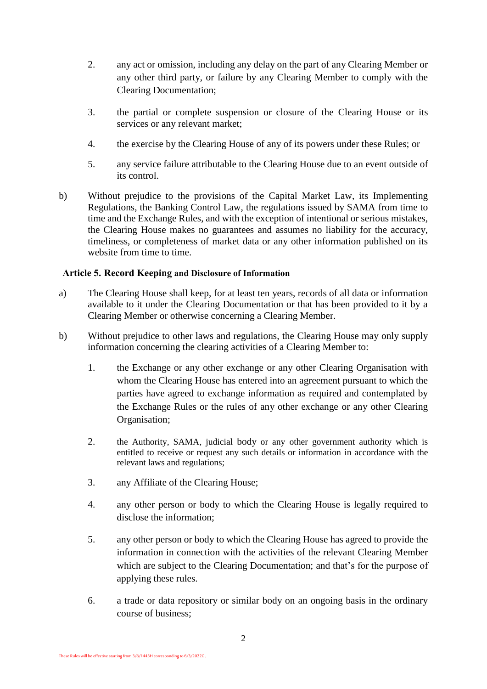- 2. any act or omission, including any delay on the part of any Clearing Member or any other third party, or failure by any Clearing Member to comply with the Clearing Documentation;
- 3. the partial or complete suspension or closure of the Clearing House or its services or any relevant market;
- 4. the exercise by the Clearing House of any of its powers under these Rules; or
- 5. any service failure attributable to the Clearing House due to an event outside of its control.
- b) Without prejudice to the provisions of the Capital Market Law, its Implementing Regulations, the Banking Control Law, the regulations issued by SAMA from time to time and the Exchange Rules, and with the exception of intentional or serious mistakes, the Clearing House makes no guarantees and assumes no liability for the accuracy, timeliness, or completeness of market data or any other information published on its website from time to time.

#### **Article 5. Record Keeping and Disclosure of Information**

- a) The Clearing House shall keep, for at least ten years, records of all data or information available to it under the Clearing Documentation or that has been provided to it by a Clearing Member or otherwise concerning a Clearing Member.
- b) Without prejudice to other laws and regulations, the Clearing House may only supply information concerning the clearing activities of a Clearing Member to:
	- 1. the Exchange or any other exchange or any other Clearing Organisation with whom the Clearing House has entered into an agreement pursuant to which the parties have agreed to exchange information as required and contemplated by the Exchange Rules or the rules of any other exchange or any other Clearing Organisation;
	- 2. the Authority, SAMA, judicial body or any other government authority which is entitled to receive or request any such details or information in accordance with the relevant laws and regulations;
	- 3. any Affiliate of the Clearing House;
	- 4. any other person or body to which the Clearing House is legally required to disclose the information;
	- 5. any other person or body to which the Clearing House has agreed to provide the information in connection with the activities of the relevant Clearing Member which are subject to the Clearing Documentation; and that's for the purpose of applying these rules.
	- 6. a trade or data repository or similar body on an ongoing basis in the ordinary course of business;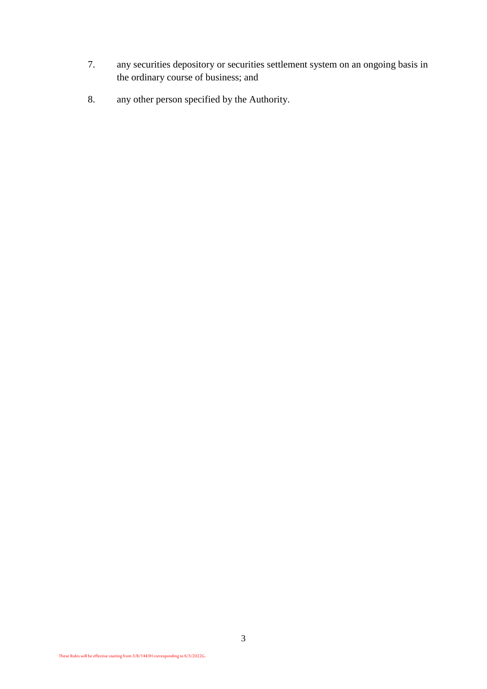- 7. any securities depository or securities settlement system on an ongoing basis in the ordinary course of business; and
- 8. any other person specified by the Authority.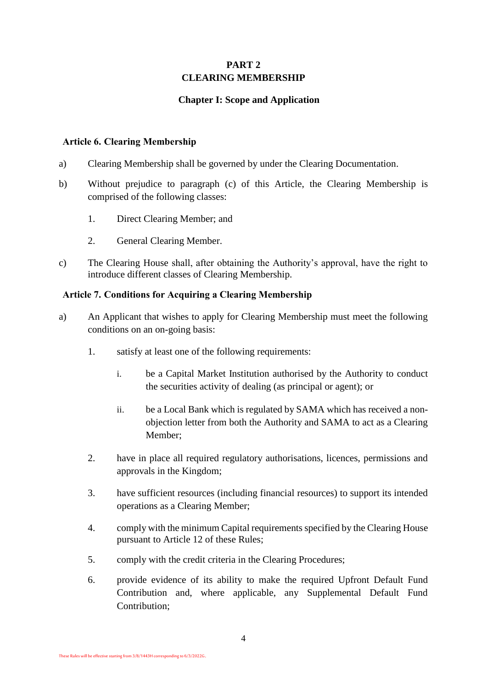## **PART 2 CLEARING MEMBERSHIP**

## **Chapter I: Scope and Application**

#### <span id="page-5-1"></span><span id="page-5-0"></span>**Article 6. Clearing Membership**

- a) Clearing Membership shall be governed by under the Clearing Documentation.
- b) Without prejudice to paragraph [\(c\)](#page-5-2) of this Article, the Clearing Membership is comprised of the following classes:
	- 1. Direct Clearing Member; and
	- 2. General Clearing Member.
- <span id="page-5-2"></span>c) The Clearing House shall, after obtaining the Authority's approval, have the right to introduce different classes of Clearing Membership.

#### **Article 7. Conditions for Acquiring a Clearing Membership**

- a) An Applicant that wishes to apply for Clearing Membership must meet the following conditions on an on-going basis:
	- 1. satisfy at least one of the following requirements:
		- i. be a Capital Market Institution authorised by the Authority to conduct the securities activity of dealing (as principal or agent); or
		- ii. be a Local Bank which is regulated by SAMA which has received a nonobjection letter from both the Authority and SAMA to act as a Clearing Member;
	- 2. have in place all required regulatory authorisations, licences, permissions and approvals in the Kingdom;
	- 3. have sufficient resources (including financial resources) to support its intended operations as a Clearing Member;
	- 4. comply with the minimum Capital requirements specified by the Clearing House pursuant to Article 12 of these Rules;
	- 5. comply with the credit criteria in the Clearing Procedures;
	- 6. provide evidence of its ability to make the required Upfront Default Fund Contribution and, where applicable, any Supplemental Default Fund Contribution;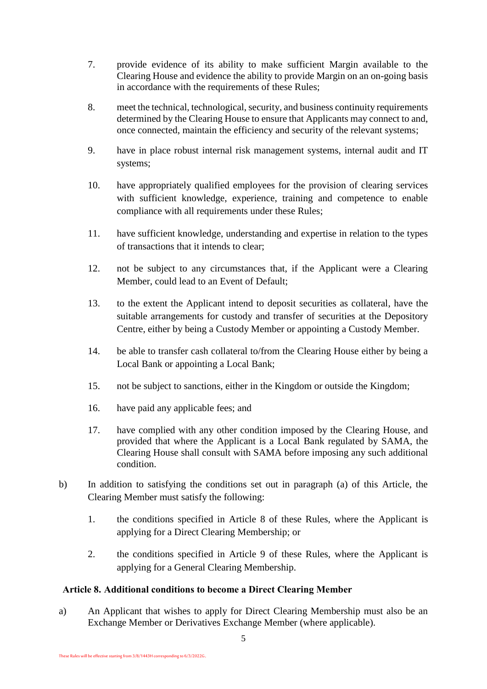- 7. provide evidence of its ability to make sufficient Margin available to the Clearing House and evidence the ability to provide Margin on an on-going basis in accordance with the requirements of these Rules;
- 8. meet the technical, technological, security, and business continuity requirements determined by the Clearing House to ensure that Applicants may connect to and, once connected, maintain the efficiency and security of the relevant systems;
- 9. have in place robust internal risk management systems, internal audit and IT systems;
- 10. have appropriately qualified employees for the provision of clearing services with sufficient knowledge, experience, training and competence to enable compliance with all requirements under these Rules;
- 11. have sufficient knowledge, understanding and expertise in relation to the types of transactions that it intends to clear;
- 12. not be subject to any circumstances that, if the Applicant were a Clearing Member, could lead to an Event of Default;
- 13. to the extent the Applicant intend to deposit securities as collateral, have the suitable arrangements for custody and transfer of securities at the Depository Centre, either by being a Custody Member or appointing a Custody Member.
- 14. be able to transfer cash collateral to/from the Clearing House either by being a Local Bank or appointing a Local Bank;
- 15. not be subject to sanctions, either in the Kingdom or outside the Kingdom;
- 16. have paid any applicable fees; and
- 17. have complied with any other condition imposed by the Clearing House, and provided that where the Applicant is a Local Bank regulated by SAMA, the Clearing House shall consult with SAMA before imposing any such additional condition.
- b) In addition to satisfying the conditions set out in paragraph (a) of this Article, the Clearing Member must satisfy the following:
	- 1. the conditions specified in Article 8 of these Rules, where the Applicant is applying for a Direct Clearing Membership; or
	- 2. the conditions specified in Article 9 of these Rules, where the Applicant is applying for a General Clearing Membership.

## **Article 8. Additional conditions to become a Direct Clearing Member**

a) An Applicant that wishes to apply for Direct Clearing Membership must also be an Exchange Member or Derivatives Exchange Member (where applicable).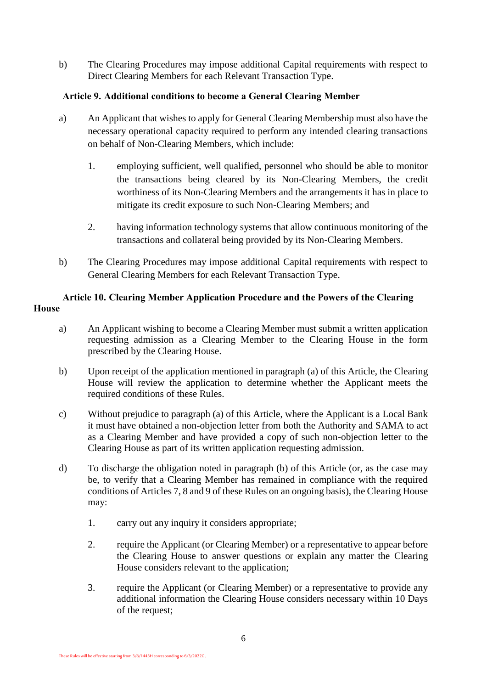b) The Clearing Procedures may impose additional Capital requirements with respect to Direct Clearing Members for each Relevant Transaction Type.

## **Article 9. Additional conditions to become a General Clearing Member**

- a) An Applicant that wishes to apply for General Clearing Membership must also have the necessary operational capacity required to perform any intended clearing transactions on behalf of Non-Clearing Members, which include:
	- 1. employing sufficient, well qualified, personnel who should be able to monitor the transactions being cleared by its Non-Clearing Members, the credit worthiness of its Non-Clearing Members and the arrangements it has in place to mitigate its credit exposure to such Non-Clearing Members; and
	- 2. having information technology systems that allow continuous monitoring of the transactions and collateral being provided by its Non-Clearing Members.
- b) The Clearing Procedures may impose additional Capital requirements with respect to General Clearing Members for each Relevant Transaction Type.

#### **Article 10. Clearing Member Application Procedure and the Powers of the Clearing House**

- <span id="page-7-0"></span>a) An Applicant wishing to become a Clearing Member must submit a written application requesting admission as a Clearing Member to the Clearing House in the form prescribed by the Clearing House.
- <span id="page-7-1"></span>b) Upon receipt of the application mentioned in paragraph [\(a\)](#page-7-0) of this Article, the Clearing House will review the application to determine whether the Applicant meets the required conditions of these Rules.
- c) Without prejudice to paragraph (a) of this Article, where the Applicant is a Local Bank it must have obtained a non-objection letter from both the Authority and SAMA to act as a Clearing Member and have provided a copy of such non-objection letter to the Clearing House as part of its written application requesting admission.
- <span id="page-7-3"></span><span id="page-7-2"></span>d) To discharge the obligation noted in paragraph [\(b\)](#page-7-1) of this Article (or, as the case may be, to verify that a Clearing Member has remained in compliance with the required conditions of Articles 7, 8 and 9 of these Rules on an ongoing basis), the Clearing House may:
	- 1. carry out any inquiry it considers appropriate;
	- 2. require the Applicant (or Clearing Member) or a representative to appear before the Clearing House to answer questions or explain any matter the Clearing House considers relevant to the application;
	- 3. require the Applicant (or Clearing Member) or a representative to provide any additional information the Clearing House considers necessary within 10 Days of the request;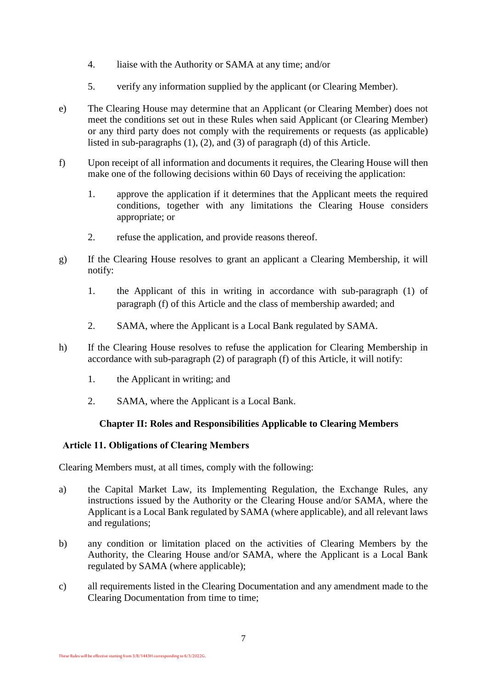- 4. liaise with the Authority or SAMA at any time; and/or
- 5. verify any information supplied by the applicant (or Clearing Member).
- e) The Clearing House may determine that an Applicant (or Clearing Member) does not meet the conditions set out in these Rules when said Applicant (or Clearing Member) or any third party does not comply with the requirements or requests (as applicable) listed in sub-paragraphs [\(1\)](#page-7-2), (2), and [\(3\)](#page-7-3) of paragraph (d) of this Article.
- <span id="page-8-2"></span>f) Upon receipt of all information and documents it requires, the Clearing House will then make one of the following decisions within 60 Days of receiving the application:
	- 1. approve the application if it determines that the Applicant meets the required conditions, together with any limitations the Clearing House considers appropriate; or
	- 2. refuse the application, and provide reasons thereof.
- <span id="page-8-3"></span><span id="page-8-1"></span>g) If the Clearing House resolves to grant an applicant a Clearing Membership, it will notify:
	- 1. the Applicant of this in writing in accordance with sub-paragraph [\(1\)](#page-8-1) of paragraph [\(f\)](#page-8-2) of this Article and the class of membership awarded; and
	- 2. SAMA, where the Applicant is a Local Bank regulated by SAMA.
- h) If the Clearing House resolves to refuse the application for Clearing Membership in accordance with sub-paragraph [\(2\)](#page-8-3) of paragraph [\(f\)](#page-8-2) of this Article, it will notify:
	- 1. the Applicant in writing; and
	- 2. SAMA, where the Applicant is a Local Bank.

## **Chapter II: Roles and Responsibilities Applicable to Clearing Members**

#### <span id="page-8-0"></span>**Article 11. Obligations of Clearing Members**

Clearing Members must, at all times, comply with the following:

- a) the Capital Market Law, its Implementing Regulation, the Exchange Rules, any instructions issued by the Authority or the Clearing House and/or SAMA, where the Applicant is a Local Bank regulated by SAMA (where applicable), and all relevant laws and regulations;
- b) any condition or limitation placed on the activities of Clearing Members by the Authority, the Clearing House and/or SAMA, where the Applicant is a Local Bank regulated by SAMA (where applicable);
- c) all requirements listed in the Clearing Documentation and any amendment made to the Clearing Documentation from time to time;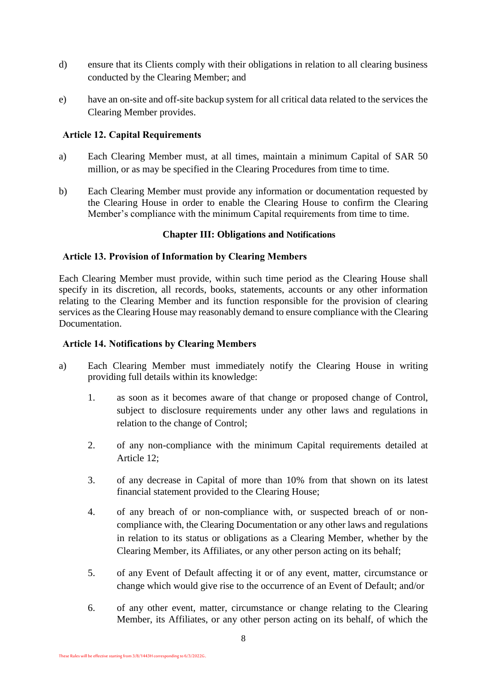- d) ensure that its Clients comply with their obligations in relation to all clearing business conducted by the Clearing Member; and
- e) have an on-site and off-site backup system for all critical data related to the services the Clearing Member provides.

#### **Article 12. Capital Requirements**

- a) Each Clearing Member must, at all times, maintain a minimum Capital of SAR 50 million, or as may be specified in the Clearing Procedures from time to time.
- b) Each Clearing Member must provide any information or documentation requested by the Clearing House in order to enable the Clearing House to confirm the Clearing Member's compliance with the minimum Capital requirements from time to time.

#### **Chapter III: Obligations and Notifications**

#### <span id="page-9-0"></span>**Article 13. Provision of Information by Clearing Members**

Each Clearing Member must provide, within such time period as the Clearing House shall specify in its discretion, all records, books, statements, accounts or any other information relating to the Clearing Member and its function responsible for the provision of clearing services as the Clearing House may reasonably demand to ensure compliance with the Clearing Documentation.

#### **Article 14. Notifications by Clearing Members**

- <span id="page-9-1"></span>a) Each Clearing Member must immediately notify the Clearing House in writing providing full details within its knowledge:
	- 1. as soon as it becomes aware of that change or proposed change of Control, subject to disclosure requirements under any other laws and regulations in relation to the change of Control;
	- 2. of any non-compliance with the minimum Capital requirements detailed at Article 12;
	- 3. of any decrease in Capital of more than 10% from that shown on its latest financial statement provided to the Clearing House;
	- 4. of any breach of or non-compliance with, or suspected breach of or noncompliance with, the Clearing Documentation or any other laws and regulations in relation to its status or obligations as a Clearing Member, whether by the Clearing Member, its Affiliates, or any other person acting on its behalf;
	- 5. of any Event of Default affecting it or of any event, matter, circumstance or change which would give rise to the occurrence of an Event of Default; and/or
	- 6. of any other event, matter, circumstance or change relating to the Clearing Member, its Affiliates, or any other person acting on its behalf, of which the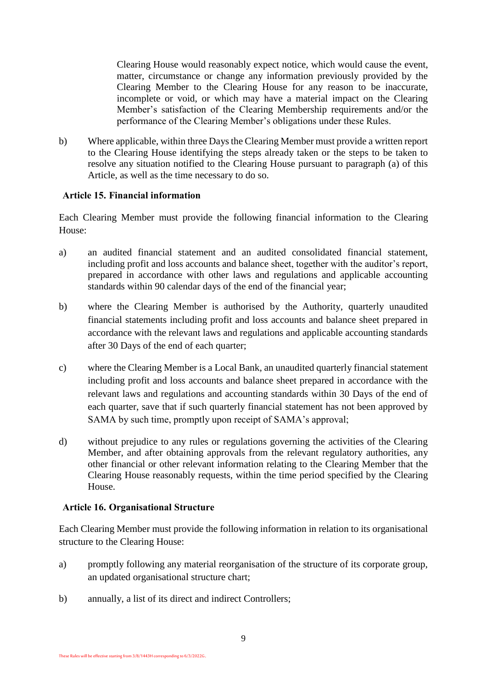Clearing House would reasonably expect notice, which would cause the event, matter, circumstance or change any information previously provided by the Clearing Member to the Clearing House for any reason to be inaccurate, incomplete or void, or which may have a material impact on the Clearing Member's satisfaction of the Clearing Membership requirements and/or the performance of the Clearing Member's obligations under these Rules.

b) Where applicable, within three Days the Clearing Member must provide a written report to the Clearing House identifying the steps already taken or the steps to be taken to resolve any situation notified to the Clearing House pursuant to paragraph [\(a\)](#page-9-1) of this Article, as well as the time necessary to do so.

#### **Article 15. Financial information**

Each Clearing Member must provide the following financial information to the Clearing House:

- a) an audited financial statement and an audited consolidated financial statement, including profit and loss accounts and balance sheet, together with the auditor's report, prepared in accordance with other laws and regulations and applicable accounting standards within 90 calendar days of the end of the financial year;
- b) where the Clearing Member is authorised by the Authority, quarterly unaudited financial statements including profit and loss accounts and balance sheet prepared in accordance with the relevant laws and regulations and applicable accounting standards after 30 Days of the end of each quarter;
- c) where the Clearing Member is a Local Bank, an unaudited quarterly financial statement including profit and loss accounts and balance sheet prepared in accordance with the relevant laws and regulations and accounting standards within 30 Days of the end of each quarter, save that if such quarterly financial statement has not been approved by SAMA by such time, promptly upon receipt of SAMA's approval;
- d) without prejudice to any rules or regulations governing the activities of the Clearing Member, and after obtaining approvals from the relevant regulatory authorities, any other financial or other relevant information relating to the Clearing Member that the Clearing House reasonably requests, within the time period specified by the Clearing House.

#### **Article 16. Organisational Structure**

Each Clearing Member must provide the following information in relation to its organisational structure to the Clearing House:

- a) promptly following any material reorganisation of the structure of its corporate group, an updated organisational structure chart;
- b) annually, a list of its direct and indirect Controllers;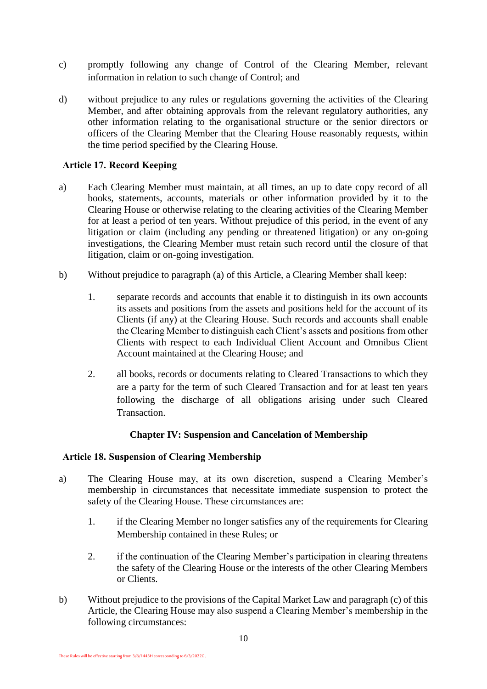- c) promptly following any change of Control of the Clearing Member, relevant information in relation to such change of Control; and
- d) without prejudice to any rules or regulations governing the activities of the Clearing Member, and after obtaining approvals from the relevant regulatory authorities, any other information relating to the organisational structure or the senior directors or officers of the Clearing Member that the Clearing House reasonably requests, within the time period specified by the Clearing House.

#### **Article 17. Record Keeping**

- <span id="page-11-1"></span>a) Each Clearing Member must maintain, at all times, an up to date copy record of all books, statements, accounts, materials or other information provided by it to the Clearing House or otherwise relating to the clearing activities of the Clearing Member for at least a period of ten years. Without prejudice of this period, in the event of any litigation or claim (including any pending or threatened litigation) or any on-going investigations, the Clearing Member must retain such record until the closure of that litigation, claim or on-going investigation.
- b) Without prejudice to paragraph [\(a\)](#page-11-1) of this Article, a Clearing Member shall keep:
	- 1. separate records and accounts that enable it to distinguish in its own accounts its assets and positions from the assets and positions held for the account of its Clients (if any) at the Clearing House. Such records and accounts shall enable the Clearing Member to distinguish each Client's assets and positions from other Clients with respect to each Individual Client Account and Omnibus Client Account maintained at the Clearing House; and
	- 2. all books, records or documents relating to Cleared Transactions to which they are a party for the term of such Cleared Transaction and for at least ten years following the discharge of all obligations arising under such Cleared Transaction.

#### **Chapter IV: Suspension and Cancelation of Membership**

#### <span id="page-11-0"></span>**Article 18. Suspension of Clearing Membership**

- <span id="page-11-3"></span>a) The Clearing House may, at its own discretion, suspend a Clearing Member's membership in circumstances that necessitate immediate suspension to protect the safety of the Clearing House. These circumstances are:
	- 1. if the Clearing Member no longer satisfies any of the requirements for Clearing Membership contained in these Rules; or
	- 2. if the continuation of the Clearing Member's participation in clearing threatens the safety of the Clearing House or the interests of the other Clearing Members or Clients.
- <span id="page-11-2"></span>b) Without prejudice to the provisions of the Capital Market Law and paragraph [\(c\)](#page-12-0) of this Article, the Clearing House may also suspend a Clearing Member's membership in the following circumstances: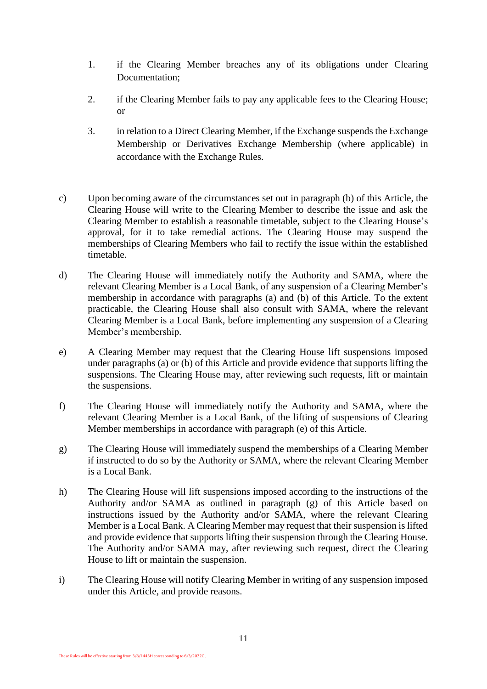- 1. if the Clearing Member breaches any of its obligations under Clearing Documentation;
- 2. if the Clearing Member fails to pay any applicable fees to the Clearing House; or
- 3. in relation to a Direct Clearing Member, if the Exchange suspends the Exchange Membership or Derivatives Exchange Membership (where applicable) in accordance with the Exchange Rules.
- <span id="page-12-0"></span>c) Upon becoming aware of the circumstances set out in paragraph [\(b\)](#page-11-2) of this Article, the Clearing House will write to the Clearing Member to describe the issue and ask the Clearing Member to establish a reasonable timetable, subject to the Clearing House's approval, for it to take remedial actions. The Clearing House may suspend the memberships of Clearing Members who fail to rectify the issue within the established timetable.
- d) The Clearing House will immediately notify the Authority and SAMA, where the relevant Clearing Member is a Local Bank, of any suspension of a Clearing Member's membership in accordance with paragraphs [\(a\)](#page-11-3) and [\(b\)](#page-11-2) of this Article. To the extent practicable, the Clearing House shall also consult with SAMA, where the relevant Clearing Member is a Local Bank, before implementing any suspension of a Clearing Member's membership.
- <span id="page-12-1"></span>e) A Clearing Member may request that the Clearing House lift suspensions imposed under paragraphs [\(a\)](#page-11-3) or (b) of this Article and provide evidence that supports lifting the suspensions. The Clearing House may, after reviewing such requests, lift or maintain the suspensions.
- f) The Clearing House will immediately notify the Authority and SAMA, where the relevant Clearing Member is a Local Bank, of the lifting of suspensions of Clearing Member memberships in accordance with paragraph [\(e\)](#page-12-1) of this Article.
- <span id="page-12-2"></span>g) The Clearing House will immediately suspend the memberships of a Clearing Member if instructed to do so by the Authority or SAMA, where the relevant Clearing Member is a Local Bank.
- h) The Clearing House will lift suspensions imposed according to the instructions of the Authority and/or SAMA as outlined in paragraph [\(g\)](#page-12-2) of this Article based on instructions issued by the Authority and/or SAMA, where the relevant Clearing Member is a Local Bank. A Clearing Member may request that their suspension is lifted and provide evidence that supports lifting their suspension through the Clearing House. The Authority and/or SAMA may, after reviewing such request, direct the Clearing House to lift or maintain the suspension.
- i) The Clearing House will notify Clearing Member in writing of any suspension imposed under this Article, and provide reasons.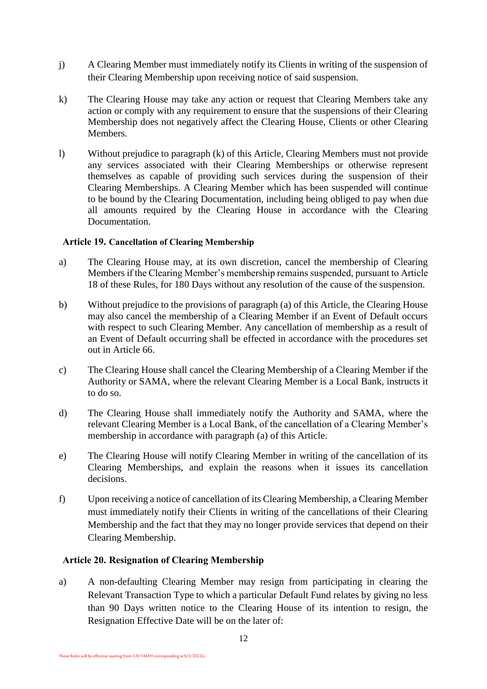- j) A Clearing Member must immediately notify its Clients in writing of the suspension of their Clearing Membership upon receiving notice of said suspension.
- <span id="page-13-0"></span>k) The Clearing House may take any action or request that Clearing Members take any action or comply with any requirement to ensure that the suspensions of their Clearing Membership does not negatively affect the Clearing House, Clients or other Clearing Members.
- l) Without prejudice to paragraph [\(k\)](#page-13-0) of this Article, Clearing Members must not provide any services associated with their Clearing Memberships or otherwise represent themselves as capable of providing such services during the suspension of their Clearing Memberships. A Clearing Member which has been suspended will continue to be bound by the Clearing Documentation, including being obliged to pay when due all amounts required by the Clearing House in accordance with the Clearing Documentation.

#### **Article 19. Cancellation of Clearing Membership**

- <span id="page-13-1"></span>a) The Clearing House may, at its own discretion, cancel the membership of Clearing Members if the Clearing Member's membership remains suspended, pursuant to Article 18 of these Rules, for 180 Days without any resolution of the cause of the suspension.
- b) Without prejudice to the provisions of paragraph [\(a\)](#page-13-1) of this Article, the Clearing House may also cancel the membership of a Clearing Member if an Event of Default occurs with respect to such Clearing Member. Any cancellation of membership as a result of an Event of Default occurring shall be effected in accordance with the procedures set out in Article 66.
- c) The Clearing House shall cancel the Clearing Membership of a Clearing Member if the Authority or SAMA, where the relevant Clearing Member is a Local Bank, instructs it to do so.
- d) The Clearing House shall immediately notify the Authority and SAMA, where the relevant Clearing Member is a Local Bank, of the cancellation of a Clearing Member's membership in accordance with paragraph [\(a\)](#page-13-1) of this Article.
- e) The Clearing House will notify Clearing Member in writing of the cancellation of its Clearing Memberships, and explain the reasons when it issues its cancellation decisions.
- f) Upon receiving a notice of cancellation of its Clearing Membership, a Clearing Member must immediately notify their Clients in writing of the cancellations of their Clearing Membership and the fact that they may no longer provide services that depend on their Clearing Membership.

## **Article 20. Resignation of Clearing Membership**

a) A non-defaulting Clearing Member may resign from participating in clearing the Relevant Transaction Type to which a particular Default Fund relates by giving no less than 90 Days written notice to the Clearing House of its intention to resign, the Resignation Effective Date will be on the later of: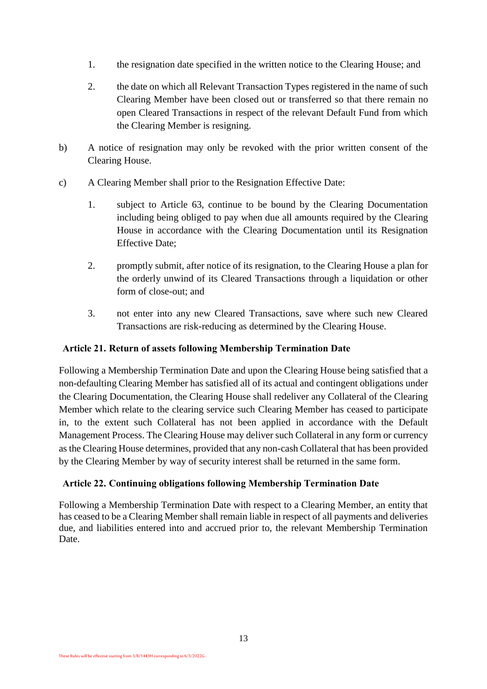- 1. the resignation date specified in the written notice to the Clearing House; and
- 2. the date on which all Relevant Transaction Types registered in the name of such Clearing Member have been closed out or transferred so that there remain no open Cleared Transactions in respect of the relevant Default Fund from which the Clearing Member is resigning.
- b) A notice of resignation may only be revoked with the prior written consent of the Clearing House.
- c) A Clearing Member shall prior to the Resignation Effective Date:
	- 1. subject to Article 63, continue to be bound by the Clearing Documentation including being obliged to pay when due all amounts required by the Clearing House in accordance with the Clearing Documentation until its Resignation Effective Date;
	- 2. promptly submit, after notice of its resignation, to the Clearing House a plan for the orderly unwind of its Cleared Transactions through a liquidation or other form of close-out; and
	- 3. not enter into any new Cleared Transactions, save where such new Cleared Transactions are risk-reducing as determined by the Clearing House.

#### **Article 21. Return of assets following Membership Termination Date**

Following a Membership Termination Date and upon the Clearing House being satisfied that a non-defaulting Clearing Member has satisfied all of its actual and contingent obligations under the Clearing Documentation, the Clearing House shall redeliver any Collateral of the Clearing Member which relate to the clearing service such Clearing Member has ceased to participate in, to the extent such Collateral has not been applied in accordance with the Default Management Process. The Clearing House may deliver such Collateral in any form or currency as the Clearing House determines, provided that any non-cash Collateral that has been provided by the Clearing Member by way of security interest shall be returned in the same form.

#### **Article 22. Continuing obligations following Membership Termination Date**

Following a Membership Termination Date with respect to a Clearing Member, an entity that has ceased to be a Clearing Member shall remain liable in respect of all payments and deliveries due, and liabilities entered into and accrued prior to, the relevant Membership Termination Date.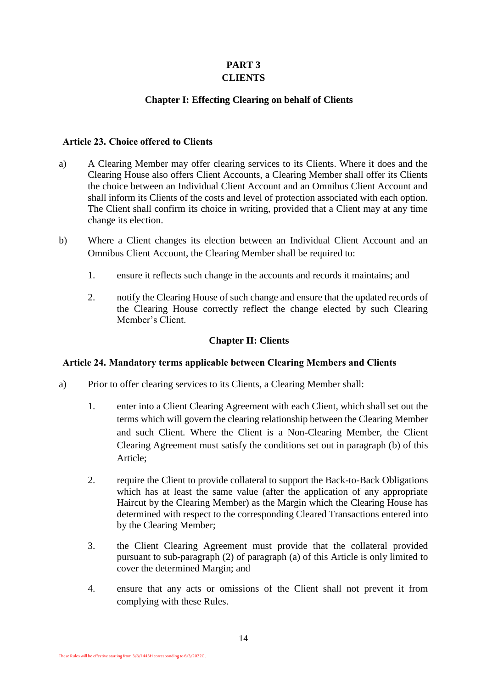## **PART 3 CLIENTS**

## **Chapter I: Effecting Clearing on behalf of Clients**

#### <span id="page-15-1"></span><span id="page-15-0"></span>**Article 23. Choice offered to Clients**

- a) A Clearing Member may offer clearing services to its Clients. Where it does and the Clearing House also offers Client Accounts, a Clearing Member shall offer its Clients the choice between an Individual Client Account and an Omnibus Client Account and shall inform its Clients of the costs and level of protection associated with each option. The Client shall confirm its choice in writing, provided that a Client may at any time change its election.
- b) Where a Client changes its election between an Individual Client Account and an Omnibus Client Account, the Clearing Member shall be required to:
	- 1. ensure it reflects such change in the accounts and records it maintains; and
	- 2. notify the Clearing House of such change and ensure that the updated records of the Clearing House correctly reflect the change elected by such Clearing Member's Client.

#### **Chapter II: Clients**

## <span id="page-15-2"></span>**Article 24. Mandatory terms applicable between Clearing Members and Clients**

- a) Prior to offer clearing services to its Clients, a Clearing Member shall:
	- 1. enter into a Client Clearing Agreement with each Client, which shall set out the terms which will govern the clearing relationship between the Clearing Member and such Client. Where the Client is a Non-Clearing Member, the Client Clearing Agreement must satisfy the conditions set out in paragraph [\(b\)](#page-16-1) of this Article;
	- 2. require the Client to provide collateral to support the Back-to-Back Obligations which has at least the same value (after the application of any appropriate Haircut by the Clearing Member) as the Margin which the Clearing House has determined with respect to the corresponding Cleared Transactions entered into by the Clearing Member;
	- 3. the Client Clearing Agreement must provide that the collateral provided pursuant to sub-paragraph (2) of paragraph (a) of this Article is only limited to cover the determined Margin; and
	- 4. ensure that any acts or omissions of the Client shall not prevent it from complying with these Rules.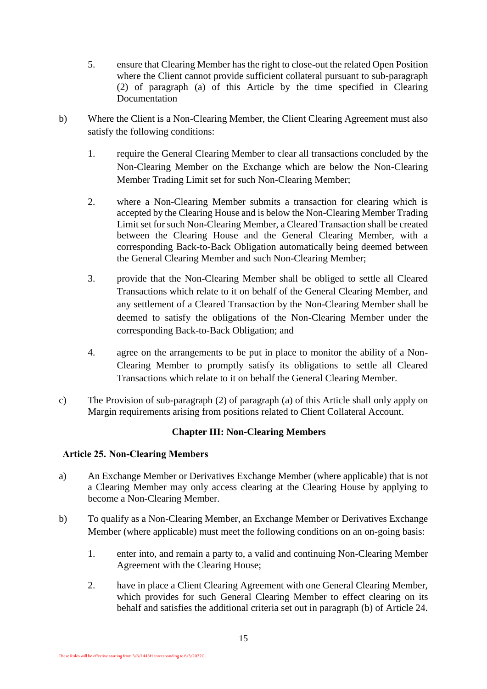- 5. ensure that Clearing Member has the right to close-out the related Open Position where the Client cannot provide sufficient collateral pursuant to sub-paragraph (2) of paragraph (a) of this Article by the time specified in Clearing Documentation
- <span id="page-16-1"></span>b) Where the Client is a Non-Clearing Member, the Client Clearing Agreement must also satisfy the following conditions:
	- 1. require the General Clearing Member to clear all transactions concluded by the Non-Clearing Member on the Exchange which are below the Non-Clearing Member Trading Limit set for such Non-Clearing Member;
	- 2. where a Non-Clearing Member submits a transaction for clearing which is accepted by the Clearing House and is below the Non-Clearing Member Trading Limit set for such Non-Clearing Member, a Cleared Transaction shall be created between the Clearing House and the General Clearing Member, with a corresponding Back-to-Back Obligation automatically being deemed between the General Clearing Member and such Non-Clearing Member;
	- 3. provide that the Non-Clearing Member shall be obliged to settle all Cleared Transactions which relate to it on behalf of the General Clearing Member, and any settlement of a Cleared Transaction by the Non-Clearing Member shall be deemed to satisfy the obligations of the Non-Clearing Member under the corresponding Back-to-Back Obligation; and
	- 4. agree on the arrangements to be put in place to monitor the ability of a Non-Clearing Member to promptly satisfy its obligations to settle all Cleared Transactions which relate to it on behalf the General Clearing Member.
- c) The Provision of sub-paragraph (2) of paragraph (a) of this Article shall only apply on Margin requirements arising from positions related to Client Collateral Account.

## **Chapter III: Non-Clearing Members**

## <span id="page-16-0"></span>**Article 25. Non-Clearing Members**

- a) An Exchange Member or Derivatives Exchange Member (where applicable) that is not a Clearing Member may only access clearing at the Clearing House by applying to become a Non-Clearing Member.
- b) To qualify as a Non-Clearing Member, an Exchange Member or Derivatives Exchange Member (where applicable) must meet the following conditions on an on-going basis:
	- 1. enter into, and remain a party to, a valid and continuing Non-Clearing Member Agreement with the Clearing House;
	- 2. have in place a Client Clearing Agreement with one General Clearing Member, which provides for such General Clearing Member to effect clearing on its behalf and satisfies the additional criteria set out in paragraph (b) of Article 24.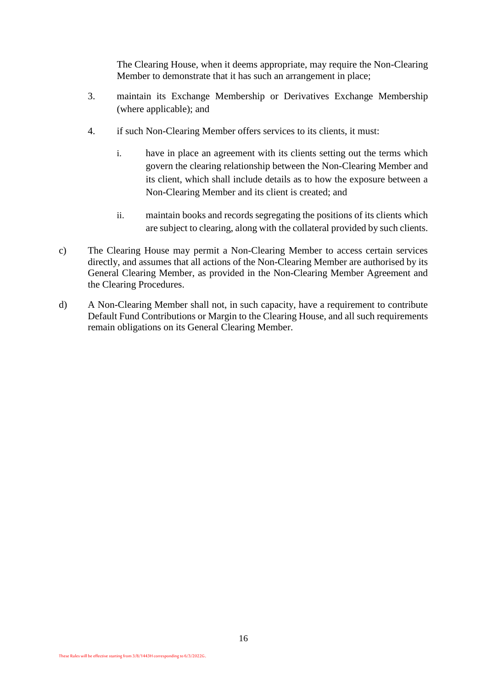The Clearing House, when it deems appropriate, may require the Non-Clearing Member to demonstrate that it has such an arrangement in place;

- 3. maintain its Exchange Membership or Derivatives Exchange Membership (where applicable); and
- 4. if such Non-Clearing Member offers services to its clients, it must:
	- i. have in place an agreement with its clients setting out the terms which govern the clearing relationship between the Non-Clearing Member and its client, which shall include details as to how the exposure between a Non-Clearing Member and its client is created; and
	- ii. maintain books and records segregating the positions of its clients which are subject to clearing, along with the collateral provided by such clients.
- c) The Clearing House may permit a Non-Clearing Member to access certain services directly, and assumes that all actions of the Non-Clearing Member are authorised by its General Clearing Member, as provided in the Non-Clearing Member Agreement and the Clearing Procedures.
- d) A Non-Clearing Member shall not, in such capacity, have a requirement to contribute Default Fund Contributions or Margin to the Clearing House, and all such requirements remain obligations on its General Clearing Member.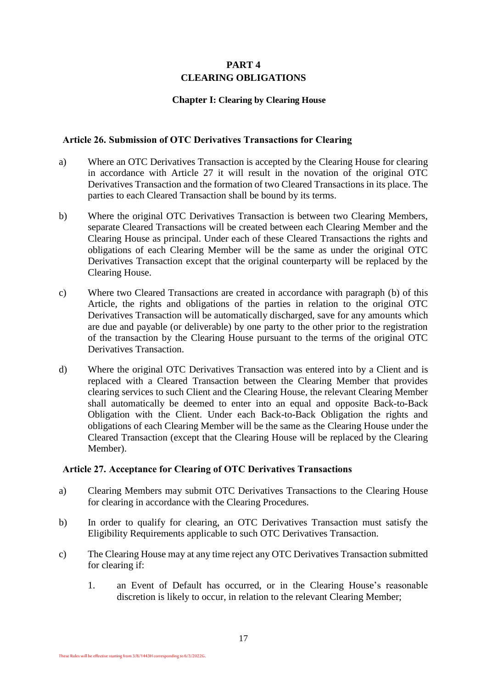## **PART 4 CLEARING OBLIGATIONS**

#### **Chapter I: Clearing by Clearing House**

#### <span id="page-18-1"></span><span id="page-18-0"></span>**Article 26. Submission of OTC Derivatives Transactions for Clearing**

- a) Where an OTC Derivatives Transaction is accepted by the Clearing House for clearing in accordance with Article 27 it will result in the novation of the original OTC Derivatives Transaction and the formation of two Cleared Transactions in its place. The parties to each Cleared Transaction shall be bound by its terms.
- <span id="page-18-2"></span>b) Where the original OTC Derivatives Transaction is between two Clearing Members, separate Cleared Transactions will be created between each Clearing Member and the Clearing House as principal. Under each of these Cleared Transactions the rights and obligations of each Clearing Member will be the same as under the original OTC Derivatives Transaction except that the original counterparty will be replaced by the Clearing House.
- c) Where two Cleared Transactions are created in accordance with paragraph [\(b\)](#page-18-2) of this Article, the rights and obligations of the parties in relation to the original OTC Derivatives Transaction will be automatically discharged, save for any amounts which are due and payable (or deliverable) by one party to the other prior to the registration of the transaction by the Clearing House pursuant to the terms of the original OTC Derivatives Transaction.
- d) Where the original OTC Derivatives Transaction was entered into by a Client and is replaced with a Cleared Transaction between the Clearing Member that provides clearing services to such Client and the Clearing House, the relevant Clearing Member shall automatically be deemed to enter into an equal and opposite Back-to-Back Obligation with the Client. Under each Back-to-Back Obligation the rights and obligations of each Clearing Member will be the same as the Clearing House under the Cleared Transaction (except that the Clearing House will be replaced by the Clearing Member).

#### **Article 27. Acceptance for Clearing of OTC Derivatives Transactions**

- a) Clearing Members may submit OTC Derivatives Transactions to the Clearing House for clearing in accordance with the Clearing Procedures.
- b) In order to qualify for clearing, an OTC Derivatives Transaction must satisfy the Eligibility Requirements applicable to such OTC Derivatives Transaction.
- c) The Clearing House may at any time reject any OTC Derivatives Transaction submitted for clearing if:
	- 1. an Event of Default has occurred, or in the Clearing House's reasonable discretion is likely to occur, in relation to the relevant Clearing Member;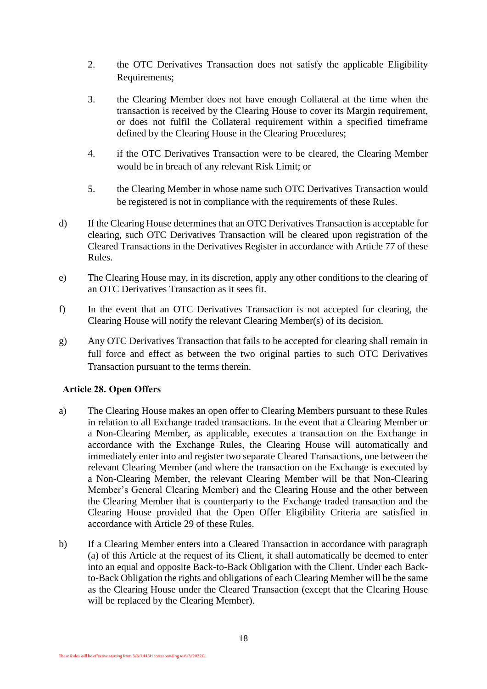- 2. the OTC Derivatives Transaction does not satisfy the applicable Eligibility Requirements;
- 3. the Clearing Member does not have enough Collateral at the time when the transaction is received by the Clearing House to cover its Margin requirement, or does not fulfil the Collateral requirement within a specified timeframe defined by the Clearing House in the Clearing Procedures;
- 4. if the OTC Derivatives Transaction were to be cleared, the Clearing Member would be in breach of any relevant Risk Limit; or
- 5. the Clearing Member in whose name such OTC Derivatives Transaction would be registered is not in compliance with the requirements of these Rules.
- d) If the Clearing House determines that an OTC Derivatives Transaction is acceptable for clearing, such OTC Derivatives Transaction will be cleared upon registration of the Cleared Transactions in the Derivatives Register in accordance with Article 77 of these Rules.
- e) The Clearing House may, in its discretion, apply any other conditions to the clearing of an OTC Derivatives Transaction as it sees fit.
- f) In the event that an OTC Derivatives Transaction is not accepted for clearing, the Clearing House will notify the relevant Clearing Member(s) of its decision.
- g) Any OTC Derivatives Transaction that fails to be accepted for clearing shall remain in full force and effect as between the two original parties to such OTC Derivatives Transaction pursuant to the terms therein.

## **Article 28. Open Offers**

- <span id="page-19-0"></span>a) The Clearing House makes an open offer to Clearing Members pursuant to these Rules in relation to all Exchange traded transactions. In the event that a Clearing Member or a Non-Clearing Member, as applicable, executes a transaction on the Exchange in accordance with the Exchange Rules, the Clearing House will automatically and immediately enter into and register two separate Cleared Transactions, one between the relevant Clearing Member (and where the transaction on the Exchange is executed by a Non-Clearing Member, the relevant Clearing Member will be that Non-Clearing Member's General Clearing Member) and the Clearing House and the other between the Clearing Member that is counterparty to the Exchange traded transaction and the Clearing House provided that the Open Offer Eligibility Criteria are satisfied in accordance with Article 29 of these Rules.
- b) If a Clearing Member enters into a Cleared Transaction in accordance with paragraph [\(a\)](#page-19-0) of this Article at the request of its Client, it shall automatically be deemed to enter into an equal and opposite Back-to-Back Obligation with the Client. Under each Backto-Back Obligation the rights and obligations of each Clearing Member will be the same as the Clearing House under the Cleared Transaction (except that the Clearing House will be replaced by the Clearing Member).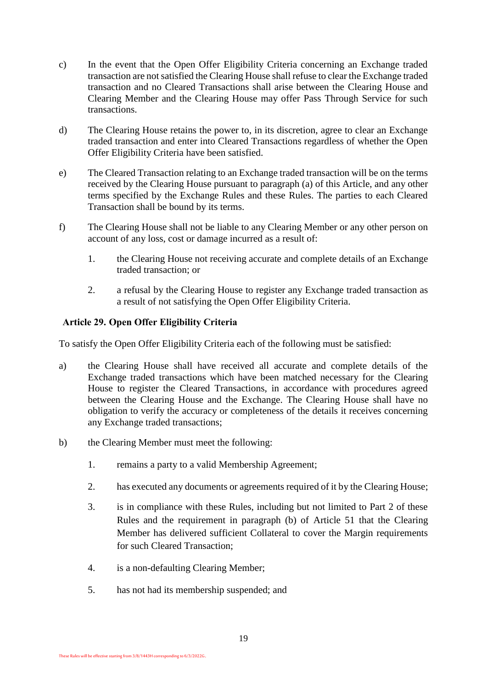- c) In the event that the Open Offer Eligibility Criteria concerning an Exchange traded transaction are not satisfied the Clearing House shall refuse to clear the Exchange traded transaction and no Cleared Transactions shall arise between the Clearing House and Clearing Member and the Clearing House may offer Pass Through Service for such transactions.
- d) The Clearing House retains the power to, in its discretion, agree to clear an Exchange traded transaction and enter into Cleared Transactions regardless of whether the Open Offer Eligibility Criteria have been satisfied.
- e) The Cleared Transaction relating to an Exchange traded transaction will be on the terms received by the Clearing House pursuant to paragraph [\(a\)](#page-19-0) of this Article, and any other terms specified by the Exchange Rules and these Rules. The parties to each Cleared Transaction shall be bound by its terms.
- f) The Clearing House shall not be liable to any Clearing Member or any other person on account of any loss, cost or damage incurred as a result of:
	- 1. the Clearing House not receiving accurate and complete details of an Exchange traded transaction; or
	- 2. a refusal by the Clearing House to register any Exchange traded transaction as a result of not satisfying the Open Offer Eligibility Criteria.

#### **Article 29. Open Offer Eligibility Criteria**

To satisfy the Open Offer Eligibility Criteria each of the following must be satisfied:

- a) the Clearing House shall have received all accurate and complete details of the Exchange traded transactions which have been matched necessary for the Clearing House to register the Cleared Transactions, in accordance with procedures agreed between the Clearing House and the Exchange. The Clearing House shall have no obligation to verify the accuracy or completeness of the details it receives concerning any Exchange traded transactions;
- b) the Clearing Member must meet the following:
	- 1. remains a party to a valid Membership Agreement;
	- 2. has executed any documents or agreements required of it by the Clearing House;
	- 3. is in compliance with these Rules, including but not limited to Part 2 of these Rules and the requirement in paragraph (b) of [Article 51](#page-31-1) that the Clearing Member has delivered sufficient Collateral to cover the Margin requirements for such Cleared Transaction;
	- 4. is a non-defaulting Clearing Member;
	- 5. has not had its membership suspended; and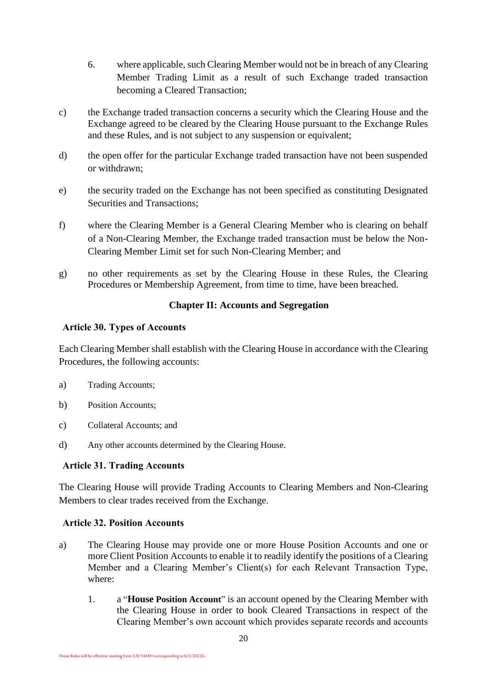- 6. where applicable, such Clearing Member would not be in breach of any Clearing Member Trading Limit as a result of such Exchange traded transaction becoming a Cleared Transaction;
- c) the Exchange traded transaction concerns a security which the Clearing House and the Exchange agreed to be cleared by the Clearing House pursuant to the Exchange Rules and these Rules, and is not subject to any suspension or equivalent;
- d) the open offer for the particular Exchange traded transaction have not been suspended or withdrawn;
- e) the security traded on the Exchange has not been specified as constituting Designated Securities and Transactions;
- f) where the Clearing Member is a General Clearing Member who is clearing on behalf of a Non-Clearing Member, the Exchange traded transaction must be below the Non-Clearing Member Limit set for such Non-Clearing Member; and
- g) no other requirements as set by the Clearing House in these Rules, the Clearing Procedures or Membership Agreement, from time to time, have been breached.

## **Chapter II: Accounts and Segregation**

#### <span id="page-21-0"></span>**Article 30. Types of Accounts**

Each Clearing Member shall establish with the Clearing House in accordance with the Clearing Procedures, the following accounts:

- a) Trading Accounts;
- b) Position Accounts;
- c) Collateral Accounts; and
- d) Any other accounts determined by the Clearing House.

## **Article 31. Trading Accounts**

The Clearing House will provide Trading Accounts to Clearing Members and Non-Clearing Members to clear trades received from the Exchange.

## **Article 32. Position Accounts**

- a) The Clearing House may provide one or more House Position Accounts and one or more Client Position Accounts to enable it to readily identify the positions of a Clearing Member and a Clearing Member's Client(s) for each Relevant Transaction Type, where:
	- 1. a "**House Position Account**" is an account opened by the Clearing Member with the Clearing House in order to book Cleared Transactions in respect of the Clearing Member's own account which provides separate records and accounts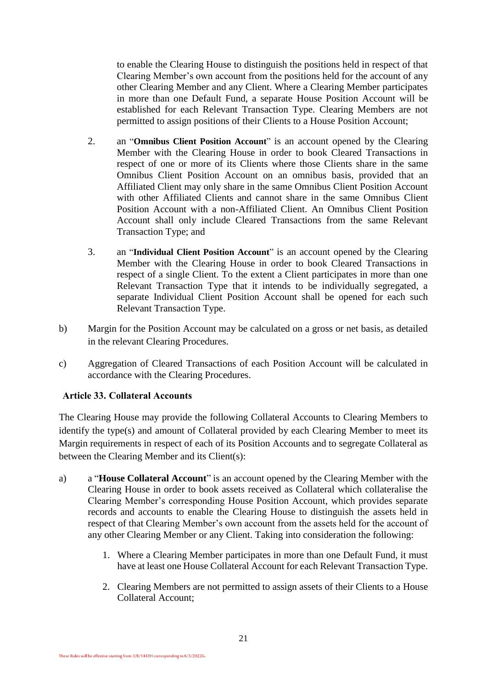to enable the Clearing House to distinguish the positions held in respect of that Clearing Member's own account from the positions held for the account of any other Clearing Member and any Client. Where a Clearing Member participates in more than one Default Fund, a separate House Position Account will be established for each Relevant Transaction Type. Clearing Members are not permitted to assign positions of their Clients to a House Position Account;

- 2. an "**Omnibus Client Position Account**" is an account opened by the Clearing Member with the Clearing House in order to book Cleared Transactions in respect of one or more of its Clients where those Clients share in the same Omnibus Client Position Account on an omnibus basis, provided that an Affiliated Client may only share in the same Omnibus Client Position Account with other Affiliated Clients and cannot share in the same Omnibus Client Position Account with a non-Affiliated Client. An Omnibus Client Position Account shall only include Cleared Transactions from the same Relevant Transaction Type; and
- 3. an "**Individual Client Position Account**" is an account opened by the Clearing Member with the Clearing House in order to book Cleared Transactions in respect of a single Client. To the extent a Client participates in more than one Relevant Transaction Type that it intends to be individually segregated, a separate Individual Client Position Account shall be opened for each such Relevant Transaction Type.
- b) Margin for the Position Account may be calculated on a gross or net basis, as detailed in the relevant Clearing Procedures.
- c) Aggregation of Cleared Transactions of each Position Account will be calculated in accordance with the Clearing Procedures.

## **Article 33. Collateral Accounts**

The Clearing House may provide the following Collateral Accounts to Clearing Members to identify the type(s) and amount of Collateral provided by each Clearing Member to meet its Margin requirements in respect of each of its Position Accounts and to segregate Collateral as between the Clearing Member and its Client(s):

- a) a "**House Collateral Account**" is an account opened by the Clearing Member with the Clearing House in order to book assets received as Collateral which collateralise the Clearing Member's corresponding House Position Account, which provides separate records and accounts to enable the Clearing House to distinguish the assets held in respect of that Clearing Member's own account from the assets held for the account of any other Clearing Member or any Client. Taking into consideration the following:
	- 1. Where a Clearing Member participates in more than one Default Fund, it must have at least one House Collateral Account for each Relevant Transaction Type.
	- 2. Clearing Members are not permitted to assign assets of their Clients to a House Collateral Account;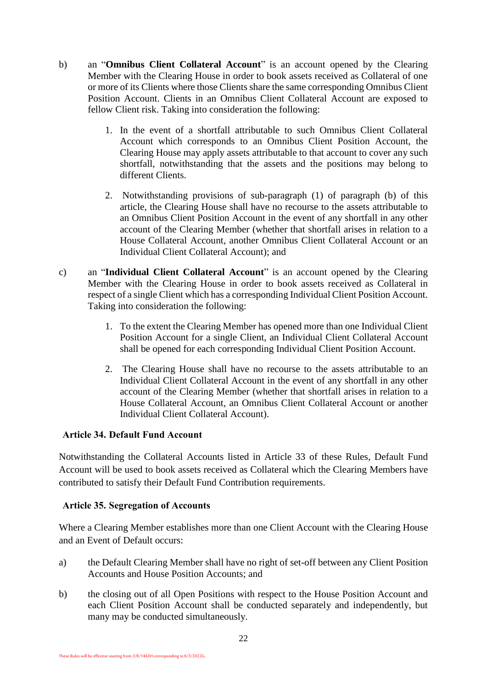- b) an "**Omnibus Client Collateral Account**" is an account opened by the Clearing Member with the Clearing House in order to book assets received as Collateral of one or more of its Clients where those Clients share the same corresponding Omnibus Client Position Account. Clients in an Omnibus Client Collateral Account are exposed to fellow Client risk. Taking into consideration the following:
	- 1. In the event of a shortfall attributable to such Omnibus Client Collateral Account which corresponds to an Omnibus Client Position Account, the Clearing House may apply assets attributable to that account to cover any such shortfall, notwithstanding that the assets and the positions may belong to different Clients.
	- 2. Notwithstanding provisions of sub-paragraph (1) of paragraph (b) of this article, the Clearing House shall have no recourse to the assets attributable to an Omnibus Client Position Account in the event of any shortfall in any other account of the Clearing Member (whether that shortfall arises in relation to a House Collateral Account, another Omnibus Client Collateral Account or an Individual Client Collateral Account); and
- c) an "**Individual Client Collateral Account**" is an account opened by the Clearing Member with the Clearing House in order to book assets received as Collateral in respect of a single Client which has a corresponding Individual Client Position Account. Taking into consideration the following:
	- 1. To the extent the Clearing Member has opened more than one Individual Client Position Account for a single Client, an Individual Client Collateral Account shall be opened for each corresponding Individual Client Position Account.
	- 2. The Clearing House shall have no recourse to the assets attributable to an Individual Client Collateral Account in the event of any shortfall in any other account of the Clearing Member (whether that shortfall arises in relation to a House Collateral Account, an Omnibus Client Collateral Account or another Individual Client Collateral Account).

## **Article 34. Default Fund Account**

Notwithstanding the Collateral Accounts listed in Article 33 of these Rules, Default Fund Account will be used to book assets received as Collateral which the Clearing Members have contributed to satisfy their Default Fund Contribution requirements.

## **Article 35. Segregation of Accounts**

Where a Clearing Member establishes more than one Client Account with the Clearing House and an Event of Default occurs:

- a) the Default Clearing Member shall have no right of set-off between any Client Position Accounts and House Position Accounts; and
- b) the closing out of all Open Positions with respect to the House Position Account and each Client Position Account shall be conducted separately and independently, but many may be conducted simultaneously.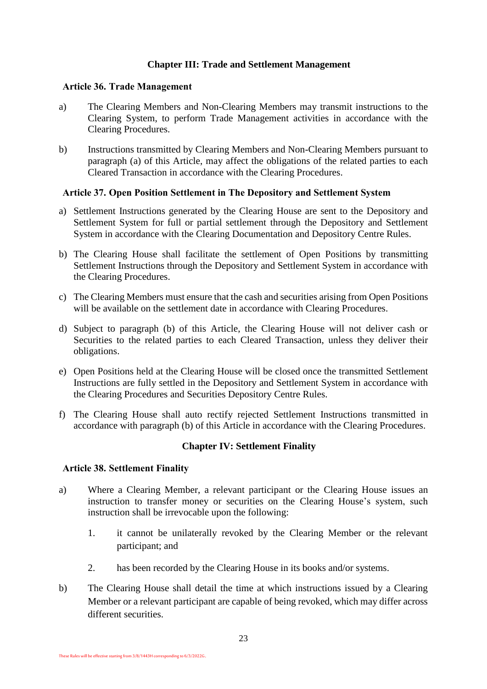#### **Chapter III: Trade and Settlement Management**

#### <span id="page-24-0"></span>**Article 36. Trade Management**

- a) The Clearing Members and Non-Clearing Members may transmit instructions to the Clearing System, to perform Trade Management activities in accordance with the Clearing Procedures.
- b) Instructions transmitted by Clearing Members and Non-Clearing Members pursuant to paragraph (a) of this Article, may affect the obligations of the related parties to each Cleared Transaction in accordance with the Clearing Procedures.

#### **Article 37. Open Position Settlement in The Depository and Settlement System**

- a) Settlement Instructions generated by the Clearing House are sent to the Depository and Settlement System for full or partial settlement through the Depository and Settlement System in accordance with the Clearing Documentation and Depository Centre Rules.
- b) The Clearing House shall facilitate the settlement of Open Positions by transmitting Settlement Instructions through the Depository and Settlement System in accordance with the Clearing Procedures.
- c) The Clearing Members must ensure that the cash and securities arising from Open Positions will be available on the settlement date in accordance with Clearing Procedures.
- d) Subject to paragraph (b) of this Article, the Clearing House will not deliver cash or Securities to the related parties to each Cleared Transaction, unless they deliver their obligations.
- e) Open Positions held at the Clearing House will be closed once the transmitted Settlement Instructions are fully settled in the Depository and Settlement System in accordance with the Clearing Procedures and Securities Depository Centre Rules.
- f) The Clearing House shall auto rectify rejected Settlement Instructions transmitted in accordance with paragraph (b) of this Article in accordance with the Clearing Procedures.

#### **Chapter IV: Settlement Finality**

#### <span id="page-24-1"></span>**Article 38. Settlement Finality**

- <span id="page-24-2"></span>a) Where a Clearing Member, a relevant participant or the Clearing House issues an instruction to transfer money or securities on the Clearing House's system, such instruction shall be irrevocable upon the following:
	- 1. it cannot be unilaterally revoked by the Clearing Member or the relevant participant; and
	- 2. has been recorded by the Clearing House in its books and/or systems.
- b) The Clearing House shall detail the time at which instructions issued by a Clearing Member or a relevant participant are capable of being revoked, which may differ across different securities.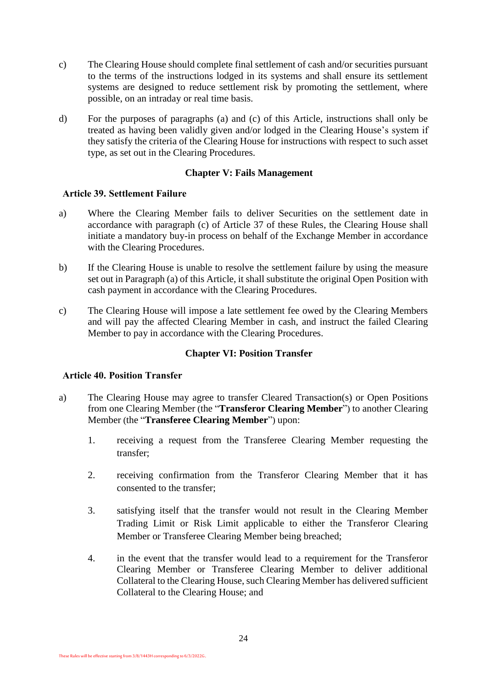- <span id="page-25-2"></span>c) The Clearing House should complete final settlement of cash and/or securities pursuant to the terms of the instructions lodged in its systems and shall ensure its settlement systems are designed to reduce settlement risk by promoting the settlement, where possible, on an intraday or real time basis.
- d) For the purposes of paragraphs [\(a\)](#page-24-2) and [\(c\)](#page-25-2) of this Article, instructions shall only be treated as having been validly given and/or lodged in the Clearing House's system if they satisfy the criteria of the Clearing House for instructions with respect to such asset type, as set out in the Clearing Procedures.

#### **Chapter V: Fails Management**

#### <span id="page-25-0"></span>**Article 39. Settlement Failure**

- a) Where the Clearing Member fails to deliver Securities on the settlement date in accordance with paragraph (c) of Article 37 of these Rules, the Clearing House shall initiate a mandatory buy-in process on behalf of the Exchange Member in accordance with the Clearing Procedures.
- b) If the Clearing House is unable to resolve the settlement failure by using the measure set out in Paragraph (a) of this Article, it shall substitute the original Open Position with cash payment in accordance with the Clearing Procedures.
- c) The Clearing House will impose a late settlement fee owed by the Clearing Members and will pay the affected Clearing Member in cash, and instruct the failed Clearing Member to pay in accordance with the Clearing Procedures.

#### **Chapter VI: Position Transfer**

#### <span id="page-25-1"></span>**Article 40. Position Transfer**

- a) The Clearing House may agree to transfer Cleared Transaction(s) or Open Positions from one Clearing Member (the "**Transferor Clearing Member**") to another Clearing Member (the "**Transferee Clearing Member**") upon:
	- 1. receiving a request from the Transferee Clearing Member requesting the transfer;
	- 2. receiving confirmation from the Transferor Clearing Member that it has consented to the transfer;
	- 3. satisfying itself that the transfer would not result in the Clearing Member Trading Limit or Risk Limit applicable to either the Transferor Clearing Member or Transferee Clearing Member being breached;
	- 4. in the event that the transfer would lead to a requirement for the Transferor Clearing Member or Transferee Clearing Member to deliver additional Collateral to the Clearing House, such Clearing Member has delivered sufficient Collateral to the Clearing House; and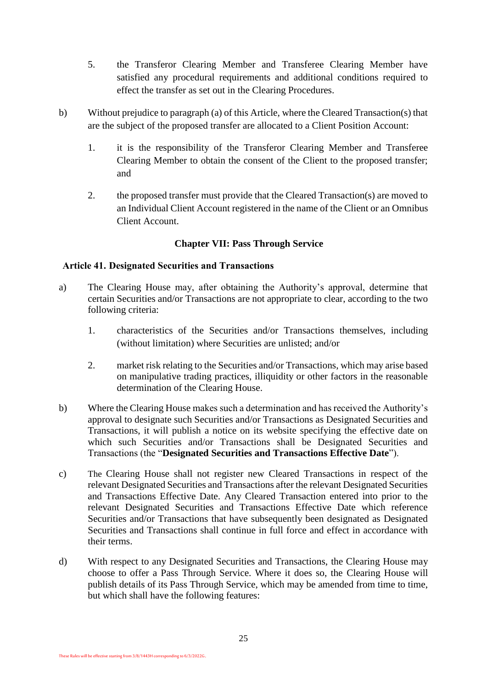- 5. the Transferor Clearing Member and Transferee Clearing Member have satisfied any procedural requirements and additional conditions required to effect the transfer as set out in the Clearing Procedures.
- b) Without prejudice to paragraph (a) of this Article, where the Cleared Transaction(s) that are the subject of the proposed transfer are allocated to a Client Position Account:
	- 1. it is the responsibility of the Transferor Clearing Member and Transferee Clearing Member to obtain the consent of the Client to the proposed transfer; and
	- 2. the proposed transfer must provide that the Cleared Transaction(s) are moved to an Individual Client Account registered in the name of the Client or an Omnibus Client Account.

## **Chapter VII: Pass Through Service**

## <span id="page-26-0"></span>**Article 41. Designated Securities and Transactions**

- a) The Clearing House may, after obtaining the Authority's approval, determine that certain Securities and/or Transactions are not appropriate to clear, according to the two following criteria:
	- 1. characteristics of the Securities and/or Transactions themselves, including (without limitation) where Securities are unlisted; and/or
	- 2. market risk relating to the Securities and/or Transactions, which may arise based on manipulative trading practices, illiquidity or other factors in the reasonable determination of the Clearing House.
- b) Where the Clearing House makes such a determination and has received the Authority's approval to designate such Securities and/or Transactions as Designated Securities and Transactions, it will publish a notice on its website specifying the effective date on which such Securities and/or Transactions shall be Designated Securities and Transactions (the "**Designated Securities and Transactions Effective Date**").
- c) The Clearing House shall not register new Cleared Transactions in respect of the relevant Designated Securities and Transactions after the relevant Designated Securities and Transactions Effective Date. Any Cleared Transaction entered into prior to the relevant Designated Securities and Transactions Effective Date which reference Securities and/or Transactions that have subsequently been designated as Designated Securities and Transactions shall continue in full force and effect in accordance with their terms.
- d) With respect to any Designated Securities and Transactions, the Clearing House may choose to offer a Pass Through Service. Where it does so, the Clearing House will publish details of its Pass Through Service, which may be amended from time to time, but which shall have the following features: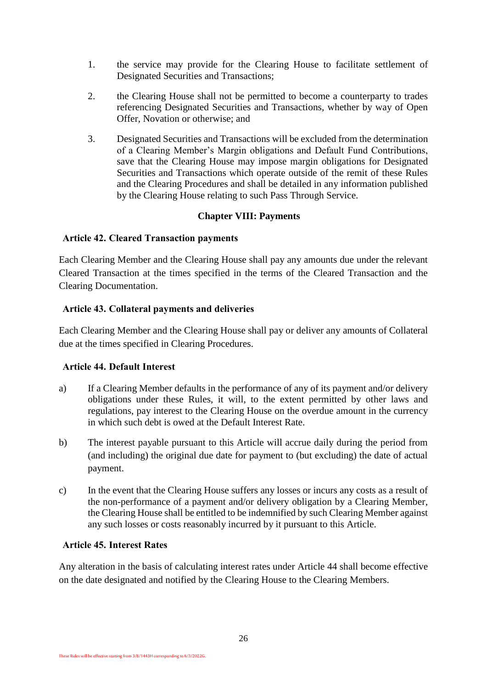- 1. the service may provide for the Clearing House to facilitate settlement of Designated Securities and Transactions;
- 2. the Clearing House shall not be permitted to become a counterparty to trades referencing Designated Securities and Transactions, whether by way of Open Offer, Novation or otherwise; and
- 3. Designated Securities and Transactions will be excluded from the determination of a Clearing Member's Margin obligations and Default Fund Contributions, save that the Clearing House may impose margin obligations for Designated Securities and Transactions which operate outside of the remit of these Rules and the Clearing Procedures and shall be detailed in any information published by the Clearing House relating to such Pass Through Service.

#### **Chapter VIII: Payments**

#### <span id="page-27-0"></span>**Article 42. Cleared Transaction payments**

Each Clearing Member and the Clearing House shall pay any amounts due under the relevant Cleared Transaction at the times specified in the terms of the Cleared Transaction and the Clearing Documentation.

#### **Article 43. Collateral payments and deliveries**

Each Clearing Member and the Clearing House shall pay or deliver any amounts of Collateral due at the times specified in Clearing Procedures.

#### **Article 44. Default Interest**

- a) If a Clearing Member defaults in the performance of any of its payment and/or delivery obligations under these Rules, it will, to the extent permitted by other laws and regulations, pay interest to the Clearing House on the overdue amount in the currency in which such debt is owed at the Default Interest Rate.
- b) The interest payable pursuant to this Article will accrue daily during the period from (and including) the original due date for payment to (but excluding) the date of actual payment.
- c) In the event that the Clearing House suffers any losses or incurs any costs as a result of the non-performance of a payment and/or delivery obligation by a Clearing Member, the Clearing House shall be entitled to be indemnified by such Clearing Member against any such losses or costs reasonably incurred by it pursuant to this Article.

#### **Article 45. Interest Rates**

Any alteration in the basis of calculating interest rates under Article 44 shall become effective on the date designated and notified by the Clearing House to the Clearing Members.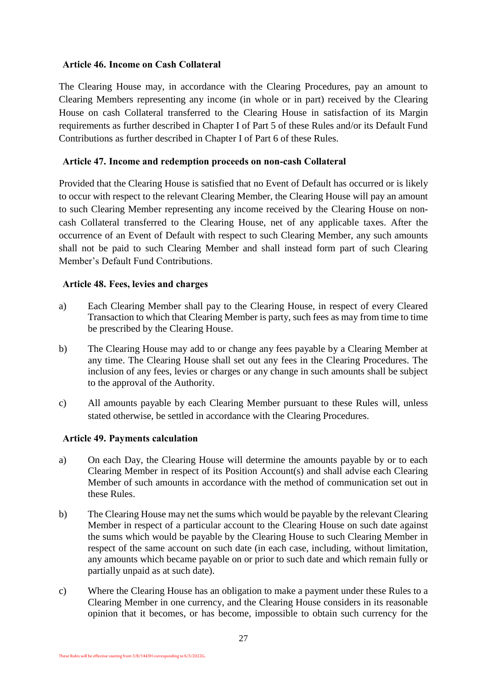#### **Article 46. Income on Cash Collateral**

The Clearing House may, in accordance with the Clearing Procedures, pay an amount to Clearing Members representing any income (in whole or in part) received by the Clearing House on cash Collateral transferred to the Clearing House in satisfaction of its Margin requirements as further described in Chapter I of Part 5 of these Rules and/or its Default Fund Contributions as further described in Chapter I of Part 6 of these Rules.

## **Article 47. Income and redemption proceeds on non-cash Collateral**

Provided that the Clearing House is satisfied that no Event of Default has occurred or is likely to occur with respect to the relevant Clearing Member, the Clearing House will pay an amount to such Clearing Member representing any income received by the Clearing House on noncash Collateral transferred to the Clearing House, net of any applicable taxes. After the occurrence of an Event of Default with respect to such Clearing Member, any such amounts shall not be paid to such Clearing Member and shall instead form part of such Clearing Member's Default Fund Contributions.

## **Article 48. Fees, levies and charges**

- a) Each Clearing Member shall pay to the Clearing House, in respect of every Cleared Transaction to which that Clearing Member is party, such fees as may from time to time be prescribed by the Clearing House.
- b) The Clearing House may add to or change any fees payable by a Clearing Member at any time. The Clearing House shall set out any fees in the Clearing Procedures. The inclusion of any fees, levies or charges or any change in such amounts shall be subject to the approval of the Authority.
- c) All amounts payable by each Clearing Member pursuant to these Rules will, unless stated otherwise, be settled in accordance with the Clearing Procedures.

## **Article 49. Payments calculation**

- a) On each Day, the Clearing House will determine the amounts payable by or to each Clearing Member in respect of its Position Account(s) and shall advise each Clearing Member of such amounts in accordance with the method of communication set out in these Rules.
- b) The Clearing House may net the sums which would be payable by the relevant Clearing Member in respect of a particular account to the Clearing House on such date against the sums which would be payable by the Clearing House to such Clearing Member in respect of the same account on such date (in each case, including, without limitation, any amounts which became payable on or prior to such date and which remain fully or partially unpaid as at such date).
- c) Where the Clearing House has an obligation to make a payment under these Rules to a Clearing Member in one currency, and the Clearing House considers in its reasonable opinion that it becomes, or has become, impossible to obtain such currency for the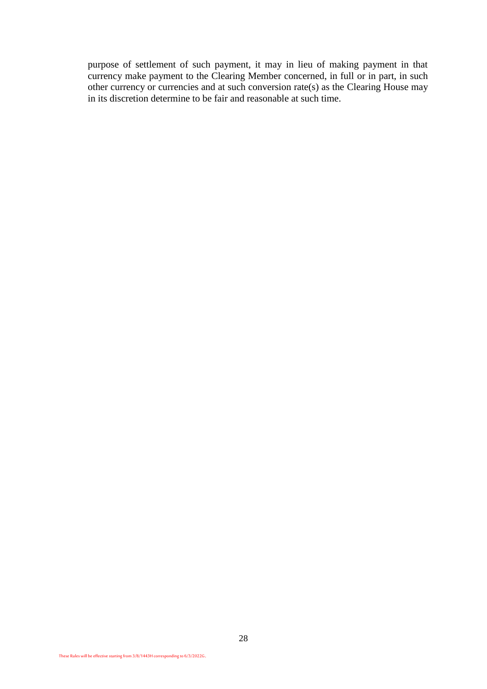purpose of settlement of such payment, it may in lieu of making payment in that currency make payment to the Clearing Member concerned, in full or in part, in such other currency or currencies and at such conversion rate(s) as the Clearing House may in its discretion determine to be fair and reasonable at such time.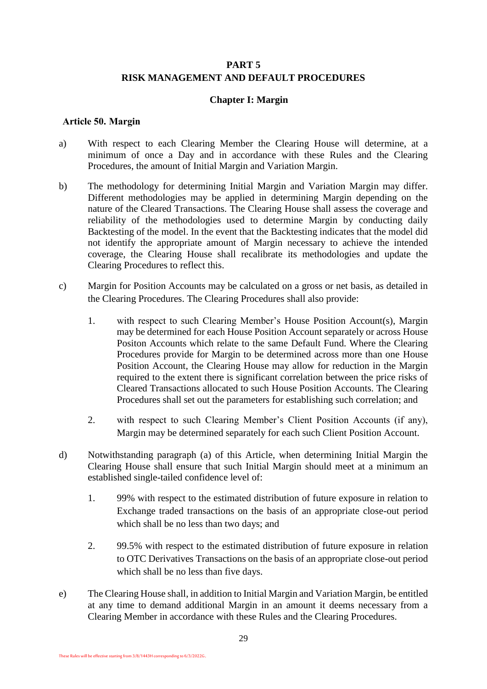## **PART 5 RISK MANAGEMENT AND DEFAULT PROCEDURES**

#### **Chapter I: Margin**

#### <span id="page-30-1"></span><span id="page-30-0"></span>**Article 50. Margin**

- <span id="page-30-2"></span>a) With respect to each Clearing Member the Clearing House will determine, at a minimum of once a Day and in accordance with these Rules and the Clearing Procedures, the amount of Initial Margin and Variation Margin.
- b) The methodology for determining Initial Margin and Variation Margin may differ. Different methodologies may be applied in determining Margin depending on the nature of the Cleared Transactions. The Clearing House shall assess the coverage and reliability of the methodologies used to determine Margin by conducting daily Backtesting of the model. In the event that the Backtesting indicates that the model did not identify the appropriate amount of Margin necessary to achieve the intended coverage, the Clearing House shall recalibrate its methodologies and update the Clearing Procedures to reflect this.
- c) Margin for Position Accounts may be calculated on a gross or net basis, as detailed in the Clearing Procedures. The Clearing Procedures shall also provide:
	- 1. with respect to such Clearing Member's House Position Account(s), Margin may be determined for each House Position Account separately or across House Positon Accounts which relate to the same Default Fund. Where the Clearing Procedures provide for Margin to be determined across more than one House Position Account, the Clearing House may allow for reduction in the Margin required to the extent there is significant correlation between the price risks of Cleared Transactions allocated to such House Position Accounts. The Clearing Procedures shall set out the parameters for establishing such correlation; and
	- 2. with respect to such Clearing Member's Client Position Accounts (if any), Margin may be determined separately for each such Client Position Account.
- d) Notwithstanding paragraph [\(a\)](#page-30-2) of this Article, when determining Initial Margin the Clearing House shall ensure that such Initial Margin should meet at a minimum an established single-tailed confidence level of:
	- 1. 99% with respect to the estimated distribution of future exposure in relation to Exchange traded transactions on the basis of an appropriate close-out period which shall be no less than two days; and
	- 2. 99.5% with respect to the estimated distribution of future exposure in relation to OTC Derivatives Transactions on the basis of an appropriate close-out period which shall be no less than five days.
- e) The Clearing House shall, in addition to Initial Margin and Variation Margin, be entitled at any time to demand additional Margin in an amount it deems necessary from a Clearing Member in accordance with these Rules and the Clearing Procedures.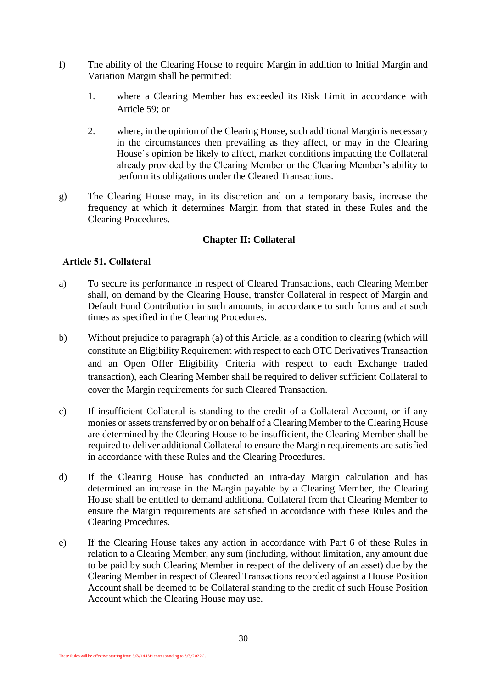- f) The ability of the Clearing House to require Margin in addition to Initial Margin and Variation Margin shall be permitted:
	- 1. where a Clearing Member has exceeded its Risk Limit in accordance with Article 59; or
	- 2. where, in the opinion of the Clearing House, such additional Margin is necessary in the circumstances then prevailing as they affect, or may in the Clearing House's opinion be likely to affect, market conditions impacting the Collateral already provided by the Clearing Member or the Clearing Member's ability to perform its obligations under the Cleared Transactions.
- g) The Clearing House may, in its discretion and on a temporary basis, increase the frequency at which it determines Margin from that stated in these Rules and the Clearing Procedures.

## **Chapter II: Collateral**

#### <span id="page-31-1"></span><span id="page-31-0"></span>**Article 51. Collateral**

- <span id="page-31-2"></span>a) To secure its performance in respect of Cleared Transactions, each Clearing Member shall, on demand by the Clearing House, transfer Collateral in respect of Margin and Default Fund Contribution in such amounts, in accordance to such forms and at such times as specified in the Clearing Procedures.
- b) Without prejudice to paragraph [\(a\)](#page-31-2) of this Article, as a condition to clearing (which will constitute an Eligibility Requirement with respect to each OTC Derivatives Transaction and an Open Offer Eligibility Criteria with respect to each Exchange traded transaction), each Clearing Member shall be required to deliver sufficient Collateral to cover the Margin requirements for such Cleared Transaction.
- c) If insufficient Collateral is standing to the credit of a Collateral Account, or if any monies or assets transferred by or on behalf of a Clearing Member to the Clearing House are determined by the Clearing House to be insufficient, the Clearing Member shall be required to deliver additional Collateral to ensure the Margin requirements are satisfied in accordance with these Rules and the Clearing Procedures.
- d) If the Clearing House has conducted an intra-day Margin calculation and has determined an increase in the Margin payable by a Clearing Member, the Clearing House shall be entitled to demand additional Collateral from that Clearing Member to ensure the Margin requirements are satisfied in accordance with these Rules and the Clearing Procedures.
- e) If the Clearing House takes any action in accordance with Part 6 of these Rules in relation to a Clearing Member, any sum (including, without limitation, any amount due to be paid by such Clearing Member in respect of the delivery of an asset) due by the Clearing Member in respect of Cleared Transactions recorded against a House Position Account shall be deemed to be Collateral standing to the credit of such House Position Account which the Clearing House may use.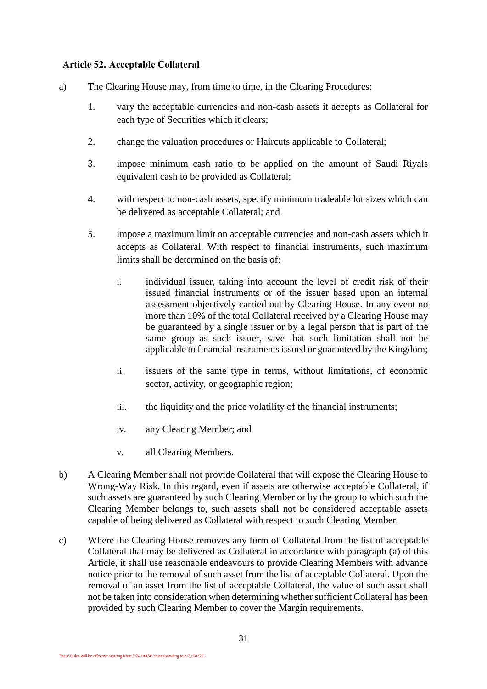#### **Article 52. Acceptable Collateral**

- <span id="page-32-0"></span>a) The Clearing House may, from time to time, in the Clearing Procedures:
	- 1. vary the acceptable currencies and non-cash assets it accepts as Collateral for each type of Securities which it clears;
	- 2. change the valuation procedures or Haircuts applicable to Collateral;
	- 3. impose minimum cash ratio to be applied on the amount of Saudi Riyals equivalent cash to be provided as Collateral;
	- 4. with respect to non-cash assets, specify minimum tradeable lot sizes which can be delivered as acceptable Collateral; and
	- 5. impose a maximum limit on acceptable currencies and non-cash assets which it accepts as Collateral. With respect to financial instruments, such maximum limits shall be determined on the basis of:
		- i. individual issuer, taking into account the level of credit risk of their issued financial instruments or of the issuer based upon an internal assessment objectively carried out by Clearing House. In any event no more than 10% of the total Collateral received by a Clearing House may be guaranteed by a single issuer or by a legal person that is part of the same group as such issuer, save that such limitation shall not be applicable to financial instruments issued or guaranteed by the Kingdom;
		- ii. issuers of the same type in terms, without limitations, of economic sector, activity, or geographic region;
		- iii. the liquidity and the price volatility of the financial instruments;
		- iv. any Clearing Member; and
		- v. all Clearing Members.
- <span id="page-32-2"></span>b) A Clearing Member shall not provide Collateral that will expose the Clearing House to Wrong-Way Risk. In this regard, even if assets are otherwise acceptable Collateral, if such assets are guaranteed by such Clearing Member or by the group to which such the Clearing Member belongs to, such assets shall not be considered acceptable assets capable of being delivered as Collateral with respect to such Clearing Member.
- <span id="page-32-1"></span>c) Where the Clearing House removes any form of Collateral from the list of acceptable Collateral that may be delivered as Collateral in accordance with paragraph [\(a\)](#page-32-0) of this Article, it shall use reasonable endeavours to provide Clearing Members with advance notice prior to the removal of such asset from the list of acceptable Collateral. Upon the removal of an asset from the list of acceptable Collateral, the value of such asset shall not be taken into consideration when determining whether sufficient Collateral has been provided by such Clearing Member to cover the Margin requirements.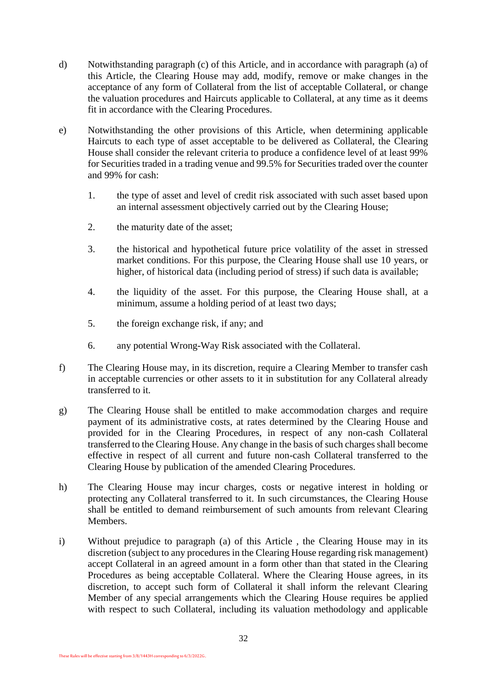- d) Notwithstanding paragraph [\(c\)](#page-32-1) of this Article, and in accordance with paragraph [\(a\)](#page-32-0) of this Article, the Clearing House may add, modify, remove or make changes in the acceptance of any form of Collateral from the list of acceptable Collateral, or change the valuation procedures and Haircuts applicable to Collateral, at any time as it deems fit in accordance with the Clearing Procedures.
- e) Notwithstanding the other provisions of this Article, when determining applicable Haircuts to each type of asset acceptable to be delivered as Collateral, the Clearing House shall consider the relevant criteria to produce a confidence level of at least 99% for Securities traded in a trading venue and 99.5% for Securities traded over the counter and 99% for cash:
	- 1. the type of asset and level of credit risk associated with such asset based upon an internal assessment objectively carried out by the Clearing House;
	- 2. the maturity date of the asset;
	- 3. the historical and hypothetical future price volatility of the asset in stressed market conditions. For this purpose, the Clearing House shall use 10 years, or higher, of historical data (including period of stress) if such data is available;
	- 4. the liquidity of the asset. For this purpose, the Clearing House shall, at a minimum, assume a holding period of at least two days;
	- 5. the foreign exchange risk, if any; and
	- 6. any potential Wrong-Way Risk associated with the Collateral.
- f) The Clearing House may, in its discretion, require a Clearing Member to transfer cash in acceptable currencies or other assets to it in substitution for any Collateral already transferred to it.
- g) The Clearing House shall be entitled to make accommodation charges and require payment of its administrative costs, at rates determined by the Clearing House and provided for in the Clearing Procedures, in respect of any non-cash Collateral transferred to the Clearing House. Any change in the basis of such charges shall become effective in respect of all current and future non-cash Collateral transferred to the Clearing House by publication of the amended Clearing Procedures.
- h) The Clearing House may incur charges, costs or negative interest in holding or protecting any Collateral transferred to it. In such circumstances, the Clearing House shall be entitled to demand reimbursement of such amounts from relevant Clearing Members.
- i) Without prejudice to paragraph [\(a\)](#page-32-0) of this Article , the Clearing House may in its discretion (subject to any procedures in the Clearing House regarding risk management) accept Collateral in an agreed amount in a form other than that stated in the Clearing Procedures as being acceptable Collateral. Where the Clearing House agrees, in its discretion, to accept such form of Collateral it shall inform the relevant Clearing Member of any special arrangements which the Clearing House requires be applied with respect to such Collateral, including its valuation methodology and applicable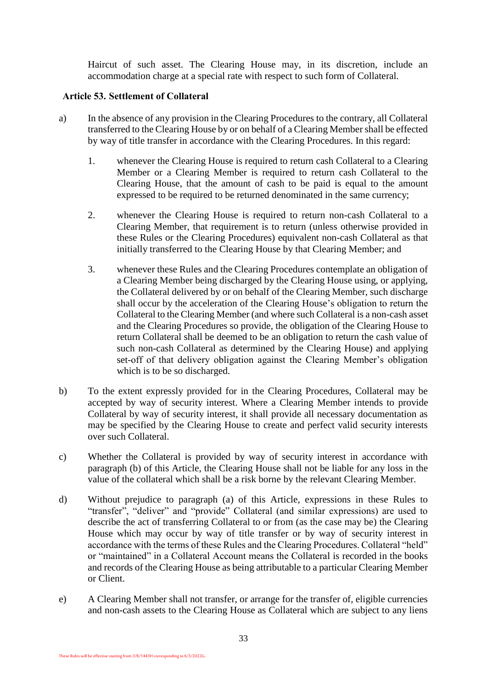Haircut of such asset. The Clearing House may, in its discretion, include an accommodation charge at a special rate with respect to such form of Collateral.

#### **Article 53. Settlement of Collateral**

- a) In the absence of any provision in the Clearing Procedures to the contrary, all Collateral transferred to the Clearing House by or on behalf of a Clearing Member shall be effected by way of title transfer in accordance with the Clearing Procedures. In this regard:
	- 1. whenever the Clearing House is required to return cash Collateral to a Clearing Member or a Clearing Member is required to return cash Collateral to the Clearing House, that the amount of cash to be paid is equal to the amount expressed to be required to be returned denominated in the same currency;
	- 2. whenever the Clearing House is required to return non-cash Collateral to a Clearing Member, that requirement is to return (unless otherwise provided in these Rules or the Clearing Procedures) equivalent non-cash Collateral as that initially transferred to the Clearing House by that Clearing Member; and
	- 3. whenever these Rules and the Clearing Procedures contemplate an obligation of a Clearing Member being discharged by the Clearing House using, or applying, the Collateral delivered by or on behalf of the Clearing Member, such discharge shall occur by the acceleration of the Clearing House's obligation to return the Collateral to the Clearing Member (and where such Collateral is a non-cash asset and the Clearing Procedures so provide, the obligation of the Clearing House to return Collateral shall be deemed to be an obligation to return the cash value of such non-cash Collateral as determined by the Clearing House) and applying set-off of that delivery obligation against the Clearing Member's obligation which is to be so discharged.
- b) To the extent expressly provided for in the Clearing Procedures, Collateral may be accepted by way of security interest. Where a Clearing Member intends to provide Collateral by way of security interest, it shall provide all necessary documentation as may be specified by the Clearing House to create and perfect valid security interests over such Collateral.
- c) Whether the Collateral is provided by way of security interest in accordance with paragraph [\(b\)](#page-32-2) of this Article, the Clearing House shall not be liable for any loss in the value of the collateral which shall be a risk borne by the relevant Clearing Member.
- d) Without prejudice to paragraph [\(a\)](#page-32-0) of this Article, expressions in these Rules to "transfer", "deliver" and "provide" Collateral (and similar expressions) are used to describe the act of transferring Collateral to or from (as the case may be) the Clearing House which may occur by way of title transfer or by way of security interest in accordance with the terms of these Rules and the Clearing Procedures. Collateral "held" or "maintained" in a Collateral Account means the Collateral is recorded in the books and records of the Clearing House as being attributable to a particular Clearing Member or Client.
- e) A Clearing Member shall not transfer, or arrange for the transfer of, eligible currencies and non-cash assets to the Clearing House as Collateral which are subject to any liens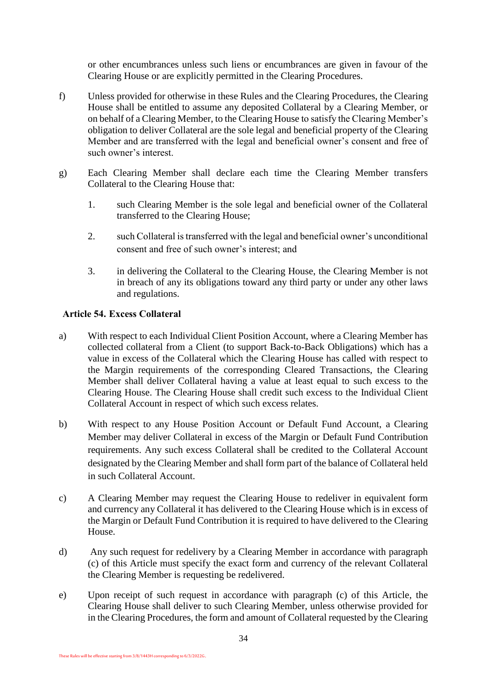or other encumbrances unless such liens or encumbrances are given in favour of the Clearing House or are explicitly permitted in the Clearing Procedures.

- f) Unless provided for otherwise in these Rules and the Clearing Procedures, the Clearing House shall be entitled to assume any deposited Collateral by a Clearing Member, or on behalf of a Clearing Member, to the Clearing House to satisfy the Clearing Member's obligation to deliver Collateral are the sole legal and beneficial property of the Clearing Member and are transferred with the legal and beneficial owner's consent and free of such owner's interest.
- g) Each Clearing Member shall declare each time the Clearing Member transfers Collateral to the Clearing House that:
	- 1. such Clearing Member is the sole legal and beneficial owner of the Collateral transferred to the Clearing House;
	- 2. such Collateral is transferred with the legal and beneficial owner's unconditional consent and free of such owner's interest; and
	- 3. in delivering the Collateral to the Clearing House, the Clearing Member is not in breach of any its obligations toward any third party or under any other laws and regulations.

## **Article 54. Excess Collateral**

- a) With respect to each Individual Client Position Account, where a Clearing Member has collected collateral from a Client (to support Back-to-Back Obligations) which has a value in excess of the Collateral which the Clearing House has called with respect to the Margin requirements of the corresponding Cleared Transactions, the Clearing Member shall deliver Collateral having a value at least equal to such excess to the Clearing House. The Clearing House shall credit such excess to the Individual Client Collateral Account in respect of which such excess relates.
- b) With respect to any House Position Account or Default Fund Account, a Clearing Member may deliver Collateral in excess of the Margin or Default Fund Contribution requirements. Any such excess Collateral shall be credited to the Collateral Account designated by the Clearing Member and shall form part of the balance of Collateral held in such Collateral Account.
- c) A Clearing Member may request the Clearing House to redeliver in equivalent form and currency any Collateral it has delivered to the Clearing House which is in excess of the Margin or Default Fund Contribution it is required to have delivered to the Clearing House.
- d) Any such request for redelivery by a Clearing Member in accordance with paragraph (c) of this Article must specify the exact form and currency of the relevant Collateral the Clearing Member is requesting be redelivered.
- e) Upon receipt of such request in accordance with paragraph (c) of this Article, the Clearing House shall deliver to such Clearing Member, unless otherwise provided for in the Clearing Procedures, the form and amount of Collateral requested by the Clearing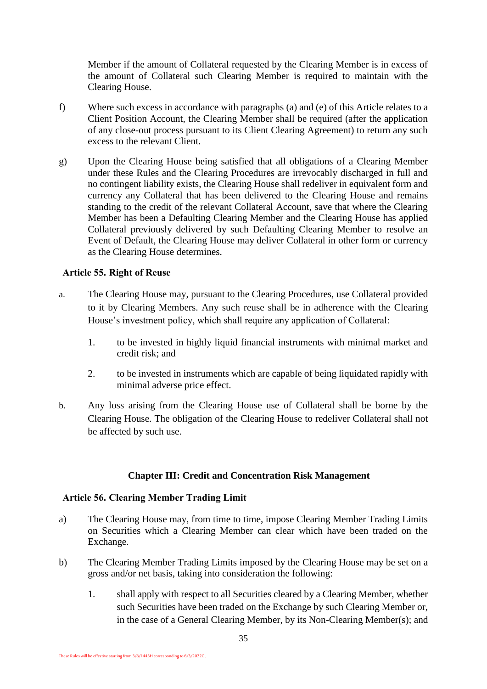Member if the amount of Collateral requested by the Clearing Member is in excess of the amount of Collateral such Clearing Member is required to maintain with the Clearing House.

- f) Where such excess in accordance with paragraphs [\(a\)](#page-32-0) and (e) of this Article relates to a Client Position Account, the Clearing Member shall be required (after the application of any close-out process pursuant to its Client Clearing Agreement) to return any such excess to the relevant Client.
- g) Upon the Clearing House being satisfied that all obligations of a Clearing Member under these Rules and the Clearing Procedures are irrevocably discharged in full and no contingent liability exists, the Clearing House shall redeliver in equivalent form and currency any Collateral that has been delivered to the Clearing House and remains standing to the credit of the relevant Collateral Account, save that where the Clearing Member has been a Defaulting Clearing Member and the Clearing House has applied Collateral previously delivered by such Defaulting Clearing Member to resolve an Event of Default, the Clearing House may deliver Collateral in other form or currency as the Clearing House determines.

#### **Article 55. Right of Reuse**

- a. The Clearing House may, pursuant to the Clearing Procedures, use Collateral provided to it by Clearing Members. Any such reuse shall be in adherence with the Clearing House's investment policy, which shall require any application of Collateral:
	- 1. to be invested in highly liquid financial instruments with minimal market and credit risk; and
	- 2. to be invested in instruments which are capable of being liquidated rapidly with minimal adverse price effect.
- b. Any loss arising from the Clearing House use of Collateral shall be borne by the Clearing House. The obligation of the Clearing House to redeliver Collateral shall not be affected by such use.

## **Chapter III: Credit and Concentration Risk Management**

#### <span id="page-36-1"></span><span id="page-36-0"></span>**Article 56. Clearing Member Trading Limit**

- a) The Clearing House may, from time to time, impose Clearing Member Trading Limits on Securities which a Clearing Member can clear which have been traded on the Exchange.
- b) The Clearing Member Trading Limits imposed by the Clearing House may be set on a gross and/or net basis, taking into consideration the following:
	- 1. shall apply with respect to all Securities cleared by a Clearing Member, whether such Securities have been traded on the Exchange by such Clearing Member or, in the case of a General Clearing Member, by its Non-Clearing Member(s); and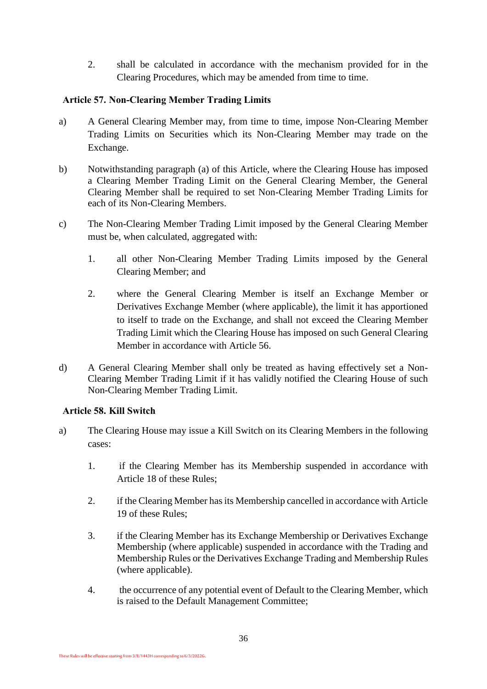2. shall be calculated in accordance with the mechanism provided for in the Clearing Procedures, which may be amended from time to time.

## **Article 57. Non-Clearing Member Trading Limits**

- <span id="page-37-0"></span>a) A General Clearing Member may, from time to time, impose Non-Clearing Member Trading Limits on Securities which its Non-Clearing Member may trade on the Exchange.
- b) Notwithstanding paragraph [\(a\)](#page-37-0) of this Article, where the Clearing House has imposed a Clearing Member Trading Limit on the General Clearing Member, the General Clearing Member shall be required to set Non-Clearing Member Trading Limits for each of its Non-Clearing Members.
- c) The Non-Clearing Member Trading Limit imposed by the General Clearing Member must be, when calculated, aggregated with:
	- 1. all other Non-Clearing Member Trading Limits imposed by the General Clearing Member; and
	- 2. where the General Clearing Member is itself an Exchange Member or Derivatives Exchange Member (where applicable), the limit it has apportioned to itself to trade on the Exchange, and shall not exceed the Clearing Member Trading Limit which the Clearing House has imposed on such General Clearing Member in accordance with [Article 56.](#page-36-1)
- d) A General Clearing Member shall only be treated as having effectively set a Non-Clearing Member Trading Limit if it has validly notified the Clearing House of such Non-Clearing Member Trading Limit.

## **Article 58. Kill Switch**

- a) The Clearing House may issue a Kill Switch on its Clearing Members in the following cases:
	- 1. if the Clearing Member has its Membership suspended in accordance with Article 18 of these Rules;
	- 2. if the Clearing Member has its Membership cancelled in accordance with Article 19 of these Rules;
	- 3. if the Clearing Member has its Exchange Membership or Derivatives Exchange Membership (where applicable) suspended in accordance with the Trading and Membership Rules or the Derivatives Exchange Trading and Membership Rules (where applicable).
	- 4. the occurrence of any potential event of Default to the Clearing Member, which is raised to the Default Management Committee;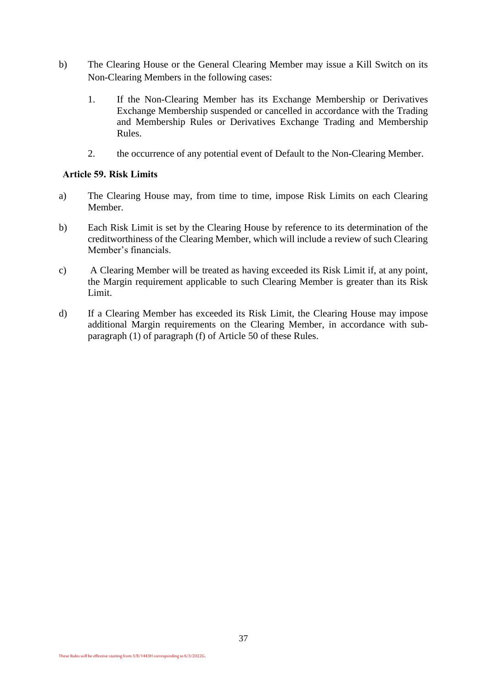- b) The Clearing House or the General Clearing Member may issue a Kill Switch on its Non-Clearing Members in the following cases:
	- 1. If the Non-Clearing Member has its Exchange Membership or Derivatives Exchange Membership suspended or cancelled in accordance with the Trading and Membership Rules or Derivatives Exchange Trading and Membership Rules.
	- 2. the occurrence of any potential event of Default to the Non-Clearing Member.

#### **Article 59. Risk Limits**

- a) The Clearing House may, from time to time, impose Risk Limits on each Clearing Member.
- b) Each Risk Limit is set by the Clearing House by reference to its determination of the creditworthiness of the Clearing Member, which will include a review of such Clearing Member's financials.
- c) A Clearing Member will be treated as having exceeded its Risk Limit if, at any point, the Margin requirement applicable to such Clearing Member is greater than its Risk Limit.
- d) If a Clearing Member has exceeded its Risk Limit, the Clearing House may impose additional Margin requirements on the Clearing Member, in accordance with subparagraph (1) of paragraph (f) of Article 50 of these Rules.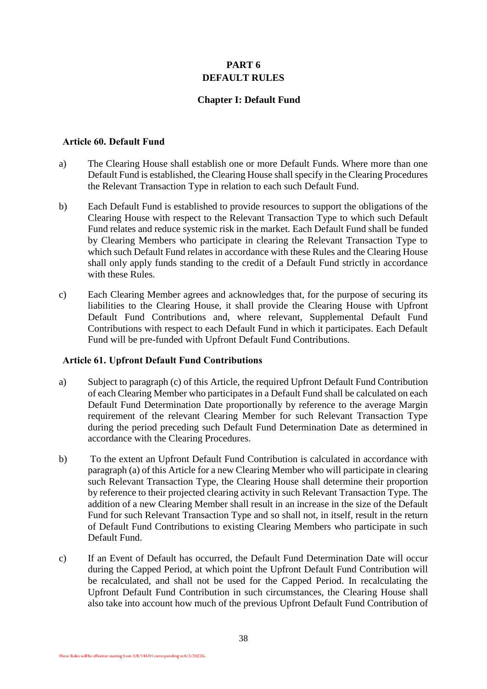## **PART 6 DEFAULT RULES**

## **Chapter I: Default Fund**

#### <span id="page-39-1"></span><span id="page-39-0"></span>**Article 60. Default Fund**

- a) The Clearing House shall establish one or more Default Funds. Where more than one Default Fund is established, the Clearing House shall specify in the Clearing Procedures the Relevant Transaction Type in relation to each such Default Fund.
- b) Each Default Fund is established to provide resources to support the obligations of the Clearing House with respect to the Relevant Transaction Type to which such Default Fund relates and reduce systemic risk in the market. Each Default Fund shall be funded by Clearing Members who participate in clearing the Relevant Transaction Type to which such Default Fund relates in accordance with these Rules and the Clearing House shall only apply funds standing to the credit of a Default Fund strictly in accordance with these Rules.
- c) Each Clearing Member agrees and acknowledges that, for the purpose of securing its liabilities to the Clearing House, it shall provide the Clearing House with Upfront Default Fund Contributions and, where relevant, Supplemental Default Fund Contributions with respect to each Default Fund in which it participates. Each Default Fund will be pre-funded with Upfront Default Fund Contributions.

#### **Article 61. Upfront Default Fund Contributions**

- a) Subject to paragraph [\(c\)](#page-39-2) of this Article, the required Upfront Default Fund Contribution of each Clearing Member who participates in a Default Fund shall be calculated on each Default Fund Determination Date proportionally by reference to the average Margin requirement of the relevant Clearing Member for such Relevant Transaction Type during the period preceding such Default Fund Determination Date as determined in accordance with the Clearing Procedures.
- b) To the extent an Upfront Default Fund Contribution is calculated in accordance with paragraph [\(a\)](#page-32-0) of this Article for a new Clearing Member who will participate in clearing such Relevant Transaction Type, the Clearing House shall determine their proportion by reference to their projected clearing activity in such Relevant Transaction Type. The addition of a new Clearing Member shall result in an increase in the size of the Default Fund for such Relevant Transaction Type and so shall not, in itself, result in the return of Default Fund Contributions to existing Clearing Members who participate in such Default Fund.
- <span id="page-39-2"></span>c) If an Event of Default has occurred, the Default Fund Determination Date will occur during the Capped Period, at which point the Upfront Default Fund Contribution will be recalculated, and shall not be used for the Capped Period. In recalculating the Upfront Default Fund Contribution in such circumstances, the Clearing House shall also take into account how much of the previous Upfront Default Fund Contribution of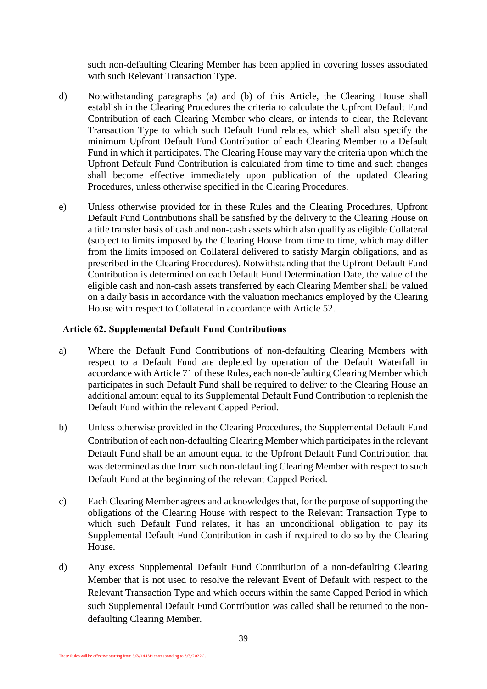such non-defaulting Clearing Member has been applied in covering losses associated with such Relevant Transaction Type.

- d) Notwithstanding paragraphs (a) and (b) of this Article, the Clearing House shall establish in the Clearing Procedures the criteria to calculate the Upfront Default Fund Contribution of each Clearing Member who clears, or intends to clear, the Relevant Transaction Type to which such Default Fund relates, which shall also specify the minimum Upfront Default Fund Contribution of each Clearing Member to a Default Fund in which it participates. The Clearing House may vary the criteria upon which the Upfront Default Fund Contribution is calculated from time to time and such changes shall become effective immediately upon publication of the updated Clearing Procedures, unless otherwise specified in the Clearing Procedures.
- e) Unless otherwise provided for in these Rules and the Clearing Procedures, Upfront Default Fund Contributions shall be satisfied by the delivery to the Clearing House on a title transfer basis of cash and non-cash assets which also qualify as eligible Collateral (subject to limits imposed by the Clearing House from time to time, which may differ from the limits imposed on Collateral delivered to satisfy Margin obligations, and as prescribed in the Clearing Procedures). Notwithstanding that the Upfront Default Fund Contribution is determined on each Default Fund Determination Date, the value of the eligible cash and non-cash assets transferred by each Clearing Member shall be valued on a daily basis in accordance with the valuation mechanics employed by the Clearing House with respect to Collateral in accordance with Article 52.

#### **Article 62. Supplemental Default Fund Contributions**

- a) Where the Default Fund Contributions of non-defaulting Clearing Members with respect to a Default Fund are depleted by operation of the Default Waterfall in accordance with Article 71 of these Rules, each non-defaulting Clearing Member which participates in such Default Fund shall be required to deliver to the Clearing House an additional amount equal to its Supplemental Default Fund Contribution to replenish the Default Fund within the relevant Capped Period.
- b) Unless otherwise provided in the Clearing Procedures, the Supplemental Default Fund Contribution of each non-defaulting Clearing Member which participates in the relevant Default Fund shall be an amount equal to the Upfront Default Fund Contribution that was determined as due from such non-defaulting Clearing Member with respect to such Default Fund at the beginning of the relevant Capped Period.
- c) Each Clearing Member agrees and acknowledges that, for the purpose of supporting the obligations of the Clearing House with respect to the Relevant Transaction Type to which such Default Fund relates, it has an unconditional obligation to pay its Supplemental Default Fund Contribution in cash if required to do so by the Clearing House.
- d) Any excess Supplemental Default Fund Contribution of a non-defaulting Clearing Member that is not used to resolve the relevant Event of Default with respect to the Relevant Transaction Type and which occurs within the same Capped Period in which such Supplemental Default Fund Contribution was called shall be returned to the nondefaulting Clearing Member.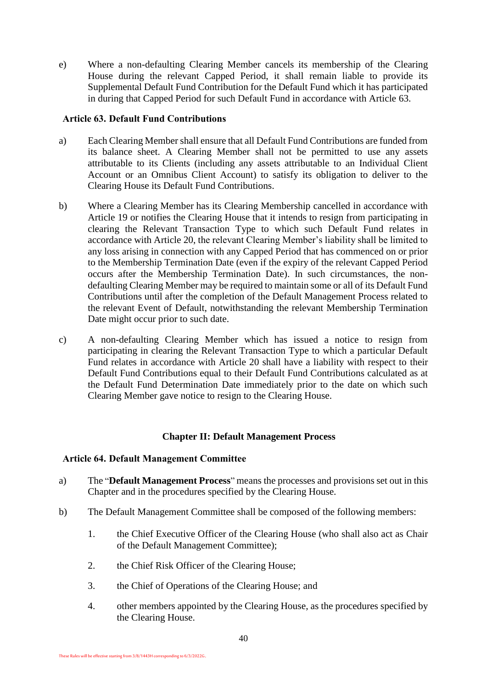e) Where a non-defaulting Clearing Member cancels its membership of the Clearing House during the relevant Capped Period, it shall remain liable to provide its Supplemental Default Fund Contribution for the Default Fund which it has participated in during that Capped Period for such Default Fund in accordance with Article 63.

#### **Article 63. Default Fund Contributions**

- a) Each Clearing Member shall ensure that all Default Fund Contributions are funded from its balance sheet. A Clearing Member shall not be permitted to use any assets attributable to its Clients (including any assets attributable to an Individual Client Account or an Omnibus Client Account) to satisfy its obligation to deliver to the Clearing House its Default Fund Contributions.
- b) Where a Clearing Member has its Clearing Membership cancelled in accordance with Article 19 or notifies the Clearing House that it intends to resign from participating in clearing the Relevant Transaction Type to which such Default Fund relates in accordance with Article 20, the relevant Clearing Member's liability shall be limited to any loss arising in connection with any Capped Period that has commenced on or prior to the Membership Termination Date (even if the expiry of the relevant Capped Period occurs after the Membership Termination Date). In such circumstances, the nondefaulting Clearing Member may be required to maintain some or all of its Default Fund Contributions until after the completion of the Default Management Process related to the relevant Event of Default, notwithstanding the relevant Membership Termination Date might occur prior to such date.
- c) A non-defaulting Clearing Member which has issued a notice to resign from participating in clearing the Relevant Transaction Type to which a particular Default Fund relates in accordance with Article 20 shall have a liability with respect to their Default Fund Contributions equal to their Default Fund Contributions calculated as at the Default Fund Determination Date immediately prior to the date on which such Clearing Member gave notice to resign to the Clearing House.

## **Chapter II: Default Management Process**

#### <span id="page-41-0"></span>**Article 64. Default Management Committee**

- a) The "**Default Management Process**" means the processes and provisions set out in this Chapter and in the procedures specified by the Clearing House.
- b) The Default Management Committee shall be composed of the following members:
	- 1. the Chief Executive Officer of the Clearing House (who shall also act as Chair of the Default Management Committee);
	- 2. the Chief Risk Officer of the Clearing House;
	- 3. the Chief of Operations of the Clearing House; and
	- 4. other members appointed by the Clearing House, as the procedures specified by the Clearing House.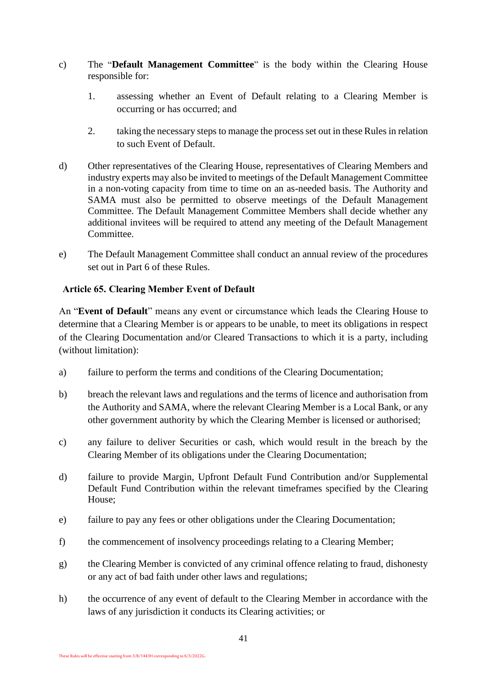- c) The "**Default Management Committee**" is the body within the Clearing House responsible for:
	- 1. assessing whether an Event of Default relating to a Clearing Member is occurring or has occurred; and
	- 2. taking the necessary steps to manage the process set out in these Rules in relation to such Event of Default.
- d) Other representatives of the Clearing House, representatives of Clearing Members and industry experts may also be invited to meetings of the Default Management Committee in a non-voting capacity from time to time on an as-needed basis. The Authority and SAMA must also be permitted to observe meetings of the Default Management Committee. The Default Management Committee Members shall decide whether any additional invitees will be required to attend any meeting of the Default Management Committee.
- e) The Default Management Committee shall conduct an annual review of the procedures set out in Part 6 of these Rules.

## **Article 65. Clearing Member Event of Default**

An "**Event of Default**" means any event or circumstance which leads the Clearing House to determine that a Clearing Member is or appears to be unable, to meet its obligations in respect of the Clearing Documentation and/or Cleared Transactions to which it is a party, including (without limitation):

- a) failure to perform the terms and conditions of the Clearing Documentation;
- b) breach the relevant laws and regulations and the terms of licence and authorisation from the Authority and SAMA, where the relevant Clearing Member is a Local Bank, or any other government authority by which the Clearing Member is licensed or authorised;
- c) any failure to deliver Securities or cash, which would result in the breach by the Clearing Member of its obligations under the Clearing Documentation;
- d) failure to provide Margin, Upfront Default Fund Contribution and/or Supplemental Default Fund Contribution within the relevant timeframes specified by the Clearing House;
- e) failure to pay any fees or other obligations under the Clearing Documentation;
- f) the commencement of insolvency proceedings relating to a Clearing Member;
- g) the Clearing Member is convicted of any criminal offence relating to fraud, dishonesty or any act of bad faith under other laws and regulations;
- h) the occurrence of any event of default to the Clearing Member in accordance with the laws of any jurisdiction it conducts its Clearing activities; or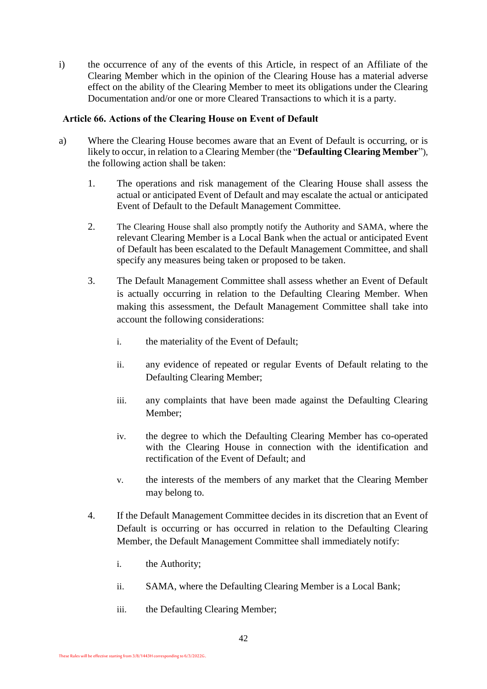i) the occurrence of any of the events of this Article, in respect of an Affiliate of the Clearing Member which in the opinion of the Clearing House has a material adverse effect on the ability of the Clearing Member to meet its obligations under the Clearing Documentation and/or one or more Cleared Transactions to which it is a party.

#### **Article 66. Actions of the Clearing House on Event of Default**

- a) Where the Clearing House becomes aware that an Event of Default is occurring, or is likely to occur, in relation to a Clearing Member (the "**Defaulting Clearing Member**"), the following action shall be taken:
	- 1. The operations and risk management of the Clearing House shall assess the actual or anticipated Event of Default and may escalate the actual or anticipated Event of Default to the Default Management Committee.
	- 2. The Clearing House shall also promptly notify the Authority and SAMA, where the relevant Clearing Member is a Local Bank when the actual or anticipated Event of Default has been escalated to the Default Management Committee, and shall specify any measures being taken or proposed to be taken.
	- 3. The Default Management Committee shall assess whether an Event of Default is actually occurring in relation to the Defaulting Clearing Member. When making this assessment, the Default Management Committee shall take into account the following considerations:
		- i. the materiality of the Event of Default;
		- ii. any evidence of repeated or regular Events of Default relating to the Defaulting Clearing Member;
		- iii. any complaints that have been made against the Defaulting Clearing Member;
		- iv. the degree to which the Defaulting Clearing Member has co-operated with the Clearing House in connection with the identification and rectification of the Event of Default; and
		- v. the interests of the members of any market that the Clearing Member may belong to.
	- 4. If the Default Management Committee decides in its discretion that an Event of Default is occurring or has occurred in relation to the Defaulting Clearing Member, the Default Management Committee shall immediately notify:
		- i. the Authority;
		- ii. SAMA, where the Defaulting Clearing Member is a Local Bank;
		- iii. the Defaulting Clearing Member;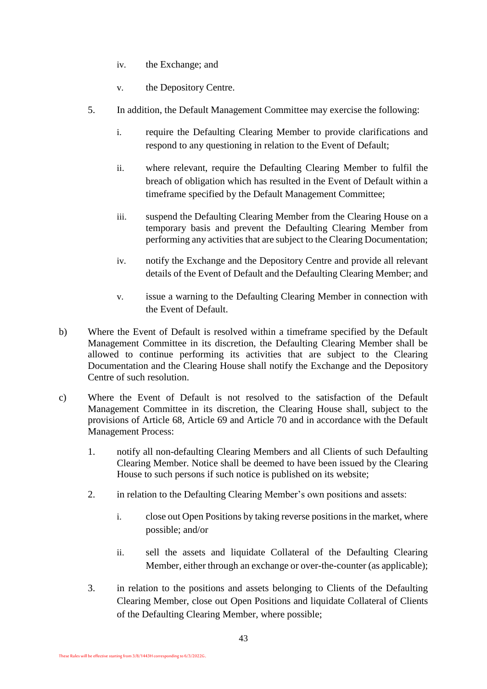- iv. the Exchange; and
- v. the Depository Centre.
- 5. In addition, the Default Management Committee may exercise the following:
	- i. require the Defaulting Clearing Member to provide clarifications and respond to any questioning in relation to the Event of Default;
	- ii. where relevant, require the Defaulting Clearing Member to fulfil the breach of obligation which has resulted in the Event of Default within a timeframe specified by the Default Management Committee;
	- iii. suspend the Defaulting Clearing Member from the Clearing House on a temporary basis and prevent the Defaulting Clearing Member from performing any activities that are subject to the Clearing Documentation;
	- iv. notify the Exchange and the Depository Centre and provide all relevant details of the Event of Default and the Defaulting Clearing Member; and
	- v. issue a warning to the Defaulting Clearing Member in connection with the Event of Default.
- b) Where the Event of Default is resolved within a timeframe specified by the Default Management Committee in its discretion, the Defaulting Clearing Member shall be allowed to continue performing its activities that are subject to the Clearing Documentation and the Clearing House shall notify the Exchange and the Depository Centre of such resolution.
- c) Where the Event of Default is not resolved to the satisfaction of the Default Management Committee in its discretion, the Clearing House shall, subject to the provisions of Article 68, Article 69 and Article 70 and in accordance with the Default Management Process:
	- 1. notify all non-defaulting Clearing Members and all Clients of such Defaulting Clearing Member. Notice shall be deemed to have been issued by the Clearing House to such persons if such notice is published on its website;
	- 2. in relation to the Defaulting Clearing Member's own positions and assets:
		- i. close out Open Positions by taking reverse positions in the market, where possible; and/or
		- ii. sell the assets and liquidate Collateral of the Defaulting Clearing Member, either through an exchange or over-the-counter (as applicable);
	- 3. in relation to the positions and assets belonging to Clients of the Defaulting Clearing Member, close out Open Positions and liquidate Collateral of Clients of the Defaulting Clearing Member, where possible;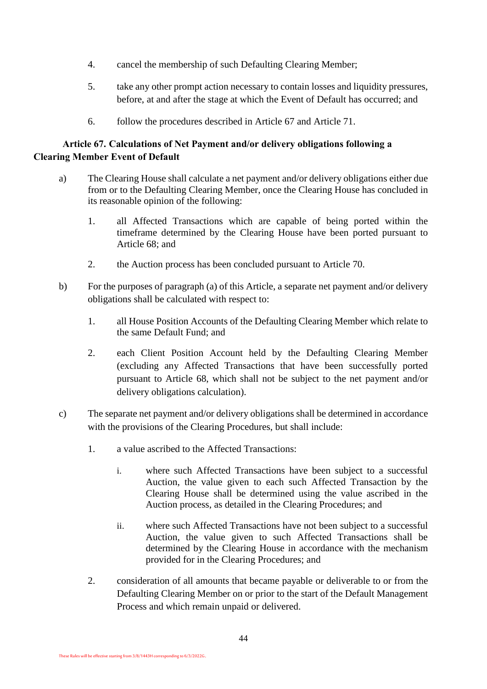- 4. cancel the membership of such Defaulting Clearing Member;
- 5. take any other prompt action necessary to contain losses and liquidity pressures, before, at and after the stage at which the Event of Default has occurred; and
- 6. follow the procedures described in Article 67 and Article 71.

## **Article 67. Calculations of Net Payment and/or delivery obligations following a Clearing Member Event of Default**

- a) The Clearing House shall calculate a net payment and/or delivery obligations either due from or to the Defaulting Clearing Member, once the Clearing House has concluded in its reasonable opinion of the following:
	- 1. all Affected Transactions which are capable of being ported within the timeframe determined by the Clearing House have been ported pursuant to Article 68; and
	- 2. the Auction process has been concluded pursuant to Article 70.
- b) For the purposes of paragraph (a) of this Article, a separate net payment and/or delivery obligations shall be calculated with respect to:
	- 1. all House Position Accounts of the Defaulting Clearing Member which relate to the same Default Fund; and
	- 2. each Client Position Account held by the Defaulting Clearing Member (excluding any Affected Transactions that have been successfully ported pursuant to Article 68, which shall not be subject to the net payment and/or delivery obligations calculation).
- c) The separate net payment and/or delivery obligations shall be determined in accordance with the provisions of the Clearing Procedures, but shall include:
	- 1. a value ascribed to the Affected Transactions:
		- i. where such Affected Transactions have been subject to a successful Auction, the value given to each such Affected Transaction by the Clearing House shall be determined using the value ascribed in the Auction process, as detailed in the Clearing Procedures; and
		- ii. where such Affected Transactions have not been subject to a successful Auction, the value given to such Affected Transactions shall be determined by the Clearing House in accordance with the mechanism provided for in the Clearing Procedures; and
	- 2. consideration of all amounts that became payable or deliverable to or from the Defaulting Clearing Member on or prior to the start of the Default Management Process and which remain unpaid or delivered.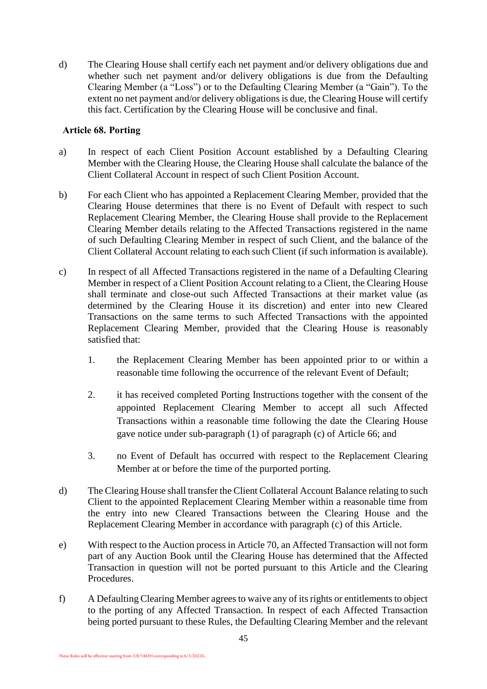d) The Clearing House shall certify each net payment and/or delivery obligations due and whether such net payment and/or delivery obligations is due from the Defaulting Clearing Member (a "Loss") or to the Defaulting Clearing Member (a "Gain"). To the extent no net payment and/or delivery obligations is due, the Clearing House will certify this fact. Certification by the Clearing House will be conclusive and final.

#### <span id="page-46-1"></span>**Article 68. Porting**

- a) In respect of each Client Position Account established by a Defaulting Clearing Member with the Clearing House, the Clearing House shall calculate the balance of the Client Collateral Account in respect of such Client Position Account.
- b) For each Client who has appointed a Replacement Clearing Member, provided that the Clearing House determines that there is no Event of Default with respect to such Replacement Clearing Member, the Clearing House shall provide to the Replacement Clearing Member details relating to the Affected Transactions registered in the name of such Defaulting Clearing Member in respect of such Client, and the balance of the Client Collateral Account relating to each such Client (if such information is available).
- <span id="page-46-0"></span>c) In respect of all Affected Transactions registered in the name of a Defaulting Clearing Member in respect of a Client Position Account relating to a Client, the Clearing House shall terminate and close-out such Affected Transactions at their market value (as determined by the Clearing House it its discretion) and enter into new Cleared Transactions on the same terms to such Affected Transactions with the appointed Replacement Clearing Member, provided that the Clearing House is reasonably satisfied that:
	- 1. the Replacement Clearing Member has been appointed prior to or within a reasonable time following the occurrence of the relevant Event of Default;
	- 2. it has received completed Porting Instructions together with the consent of the appointed Replacement Clearing Member to accept all such Affected Transactions within a reasonable time following the date the Clearing House gave notice under sub-paragraph (1) of paragraph (c) of Article 66; and
	- 3. no Event of Default has occurred with respect to the Replacement Clearing Member at or before the time of the purported porting.
- d) The Clearing House shall transfer the Client Collateral Account Balance relating to such Client to the appointed Replacement Clearing Member within a reasonable time from the entry into new Cleared Transactions between the Clearing House and the Replacement Clearing Member in accordance with paragraph [\(c\)](#page-46-0) of this Article.
- e) With respect to the Auction process in Article 70, an Affected Transaction will not form part of any Auction Book until the Clearing House has determined that the Affected Transaction in question will not be ported pursuant to this Article and the Clearing Procedures.
- f) A Defaulting Clearing Member agrees to waive any of its rights or entitlements to object to the porting of any Affected Transaction. In respect of each Affected Transaction being ported pursuant to these Rules, the Defaulting Clearing Member and the relevant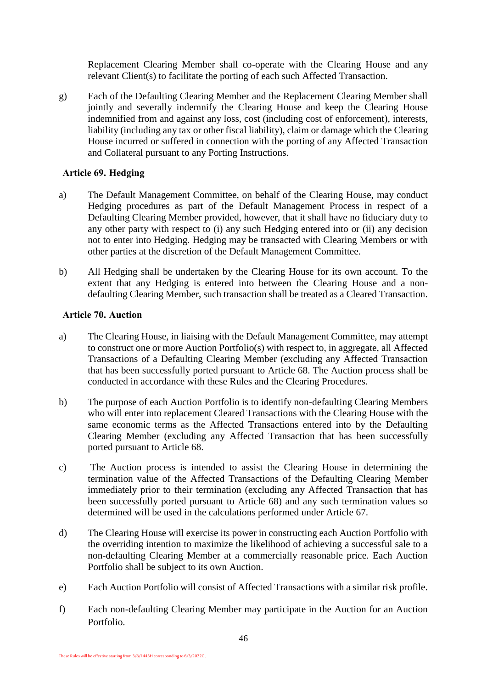Replacement Clearing Member shall co-operate with the Clearing House and any relevant Client(s) to facilitate the porting of each such Affected Transaction.

g) Each of the Defaulting Clearing Member and the Replacement Clearing Member shall jointly and severally indemnify the Clearing House and keep the Clearing House indemnified from and against any loss, cost (including cost of enforcement), interests, liability (including any tax or other fiscal liability), claim or damage which the Clearing House incurred or suffered in connection with the porting of any Affected Transaction and Collateral pursuant to any Porting Instructions.

#### **Article 69. Hedging**

- a) The Default Management Committee, on behalf of the Clearing House, may conduct Hedging procedures as part of the Default Management Process in respect of a Defaulting Clearing Member provided, however, that it shall have no fiduciary duty to any other party with respect to (i) any such Hedging entered into or (ii) any decision not to enter into Hedging. Hedging may be transacted with Clearing Members or with other parties at the discretion of the Default Management Committee.
- b) All Hedging shall be undertaken by the Clearing House for its own account. To the extent that any Hedging is entered into between the Clearing House and a nondefaulting Clearing Member, such transaction shall be treated as a Cleared Transaction.

#### **Article 70. Auction**

- a) The Clearing House, in liaising with the Default Management Committee, may attempt to construct one or more Auction Portfolio(s) with respect to, in aggregate, all Affected Transactions of a Defaulting Clearing Member (excluding any Affected Transaction that has been successfully ported pursuant to [Article 68.](#page-46-1) The Auction process shall be conducted in accordance with these Rules and the Clearing Procedures.
- b) The purpose of each Auction Portfolio is to identify non-defaulting Clearing Members who will enter into replacement Cleared Transactions with the Clearing House with the same economic terms as the Affected Transactions entered into by the Defaulting Clearing Member (excluding any Affected Transaction that has been successfully ported pursuant to Article 68.
- c) The Auction process is intended to assist the Clearing House in determining the termination value of the Affected Transactions of the Defaulting Clearing Member immediately prior to their termination (excluding any Affected Transaction that has been successfully ported pursuant to Article 68) and any such termination values so determined will be used in the calculations performed under Article 67.
- d) The Clearing House will exercise its power in constructing each Auction Portfolio with the overriding intention to maximize the likelihood of achieving a successful sale to a non-defaulting Clearing Member at a commercially reasonable price. Each Auction Portfolio shall be subject to its own Auction.
- e) Each Auction Portfolio will consist of Affected Transactions with a similar risk profile.
- f) Each non-defaulting Clearing Member may participate in the Auction for an Auction Portfolio.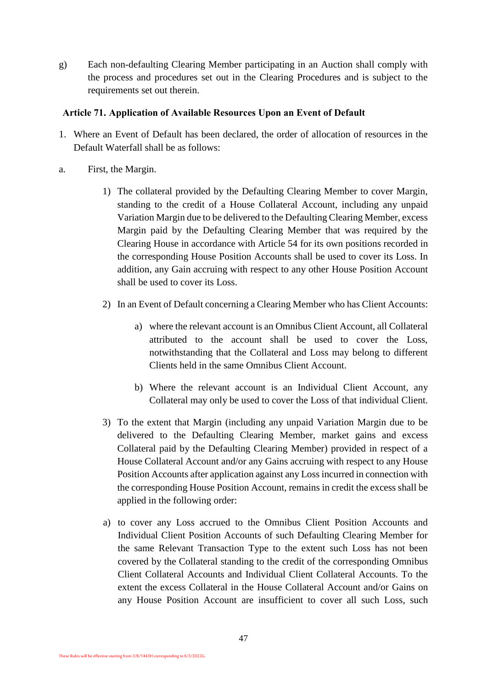g) Each non-defaulting Clearing Member participating in an Auction shall comply with the process and procedures set out in the Clearing Procedures and is subject to the requirements set out therein.

#### **Article 71. Application of Available Resources Upon an Event of Default**

- 1. Where an Event of Default has been declared, the order of allocation of resources in the Default Waterfall shall be as follows:
- a. First, the Margin.
	- 1) The collateral provided by the Defaulting Clearing Member to cover Margin, standing to the credit of a House Collateral Account, including any unpaid Variation Margin due to be delivered to the Defaulting Clearing Member, excess Margin paid by the Defaulting Clearing Member that was required by the Clearing House in accordance with Article 54 for its own positions recorded in the corresponding House Position Accounts shall be used to cover its Loss. In addition, any Gain accruing with respect to any other House Position Account shall be used to cover its Loss.
	- 2) In an Event of Default concerning a Clearing Member who has Client Accounts:
		- a) where the relevant account is an Omnibus Client Account, all Collateral attributed to the account shall be used to cover the Loss, notwithstanding that the Collateral and Loss may belong to different Clients held in the same Omnibus Client Account.
		- b) Where the relevant account is an Individual Client Account, any Collateral may only be used to cover the Loss of that individual Client.
	- 3) To the extent that Margin (including any unpaid Variation Margin due to be delivered to the Defaulting Clearing Member, market gains and excess Collateral paid by the Defaulting Clearing Member) provided in respect of a House Collateral Account and/or any Gains accruing with respect to any House Position Accounts after application against any Loss incurred in connection with the corresponding House Position Account, remains in credit the excess shall be applied in the following order:
	- a) to cover any Loss accrued to the Omnibus Client Position Accounts and Individual Client Position Accounts of such Defaulting Clearing Member for the same Relevant Transaction Type to the extent such Loss has not been covered by the Collateral standing to the credit of the corresponding Omnibus Client Collateral Accounts and Individual Client Collateral Accounts. To the extent the excess Collateral in the House Collateral Account and/or Gains on any House Position Account are insufficient to cover all such Loss, such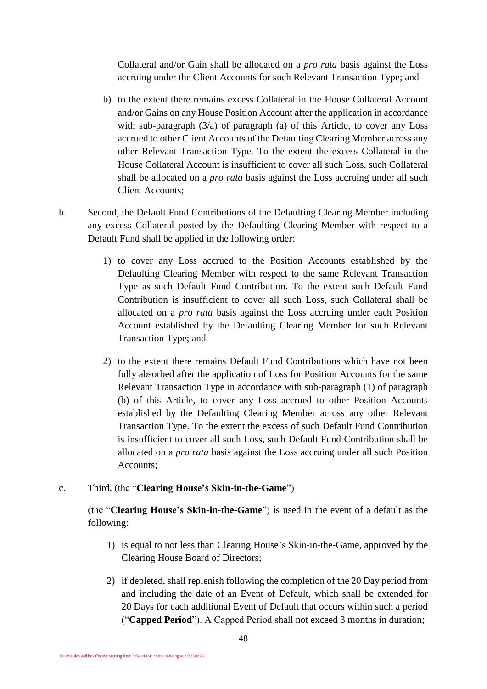Collateral and/or Gain shall be allocated on a *pro rata* basis against the Loss accruing under the Client Accounts for such Relevant Transaction Type; and

- b) to the extent there remains excess Collateral in the House Collateral Account and/or Gains on any House Position Account after the application in accordance with sub-paragraph  $(3/a)$  of paragraph  $(a)$  of this Article, to cover any Loss accrued to other Client Accounts of the Defaulting Clearing Member across any other Relevant Transaction Type. To the extent the excess Collateral in the House Collateral Account is insufficient to cover all such Loss, such Collateral shall be allocated on a *pro rata* basis against the Loss accruing under all such Client Accounts;
- b. Second, the Default Fund Contributions of the Defaulting Clearing Member including any excess Collateral posted by the Defaulting Clearing Member with respect to a Default Fund shall be applied in the following order:
	- 1) to cover any Loss accrued to the Position Accounts established by the Defaulting Clearing Member with respect to the same Relevant Transaction Type as such Default Fund Contribution. To the extent such Default Fund Contribution is insufficient to cover all such Loss, such Collateral shall be allocated on a *pro rata* basis against the Loss accruing under each Position Account established by the Defaulting Clearing Member for such Relevant Transaction Type; and
	- 2) to the extent there remains Default Fund Contributions which have not been fully absorbed after the application of Loss for Position Accounts for the same Relevant Transaction Type in accordance with sub-paragraph (1) of paragraph (b) of this Article, to cover any Loss accrued to other Position Accounts established by the Defaulting Clearing Member across any other Relevant Transaction Type. To the extent the excess of such Default Fund Contribution is insufficient to cover all such Loss, such Default Fund Contribution shall be allocated on a *pro rata* basis against the Loss accruing under all such Position Accounts;

## c. Third, (the "**Clearing House's Skin-in-the-Game**")

(the "**Clearing House's Skin-in-the-Game**") is used in the event of a default as the following:

- 1) is equal to not less than Clearing House's Skin-in-the-Game, approved by the Clearing House Board of Directors;
- 2) if depleted, shall replenish following the completion of the 20 Day period from and including the date of an Event of Default, which shall be extended for 20 Days for each additional Event of Default that occurs within such a period ("**Capped Period**"). A Capped Period shall not exceed 3 months in duration;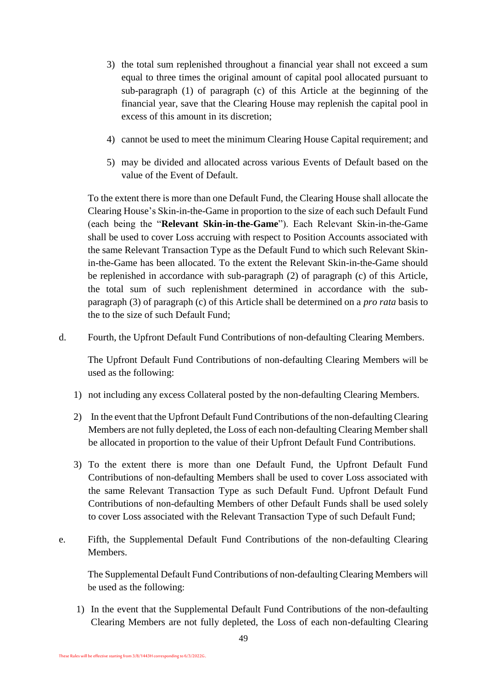- 3) the total sum replenished throughout a financial year shall not exceed a sum equal to three times the original amount of capital pool allocated pursuant to sub-paragraph (1) of paragraph (c) of this Article at the beginning of the financial year, save that the Clearing House may replenish the capital pool in excess of this amount in its discretion;
- 4) cannot be used to meet the minimum Clearing House Capital requirement; and
- 5) may be divided and allocated across various Events of Default based on the value of the Event of Default.

To the extent there is more than one Default Fund, the Clearing House shall allocate the Clearing House's Skin-in-the-Game in proportion to the size of each such Default Fund (each being the "**Relevant Skin-in-the-Game**"). Each Relevant Skin-in-the-Game shall be used to cover Loss accruing with respect to Position Accounts associated with the same Relevant Transaction Type as the Default Fund to which such Relevant Skinin-the-Game has been allocated. To the extent the Relevant Skin-in-the-Game should be replenished in accordance with sub-paragraph (2) of paragraph (c) of this Article, the total sum of such replenishment determined in accordance with the subparagraph (3) of paragraph (c) of this Article shall be determined on a *pro rata* basis to the to the size of such Default Fund;

d. Fourth, the Upfront Default Fund Contributions of non-defaulting Clearing Members.

The Upfront Default Fund Contributions of non-defaulting Clearing Members will be used as the following:

- 1) not including any excess Collateral posted by the non-defaulting Clearing Members.
- 2) In the event that the Upfront Default Fund Contributions of the non-defaulting Clearing Members are not fully depleted, the Loss of each non-defaulting Clearing Member shall be allocated in proportion to the value of their Upfront Default Fund Contributions.
- 3) To the extent there is more than one Default Fund, the Upfront Default Fund Contributions of non-defaulting Members shall be used to cover Loss associated with the same Relevant Transaction Type as such Default Fund. Upfront Default Fund Contributions of non-defaulting Members of other Default Funds shall be used solely to cover Loss associated with the Relevant Transaction Type of such Default Fund;
- e. Fifth, the Supplemental Default Fund Contributions of the non-defaulting Clearing **Members**

The Supplemental Default Fund Contributions of non-defaulting Clearing Members will be used as the following:

1) In the event that the Supplemental Default Fund Contributions of the non-defaulting Clearing Members are not fully depleted, the Loss of each non-defaulting Clearing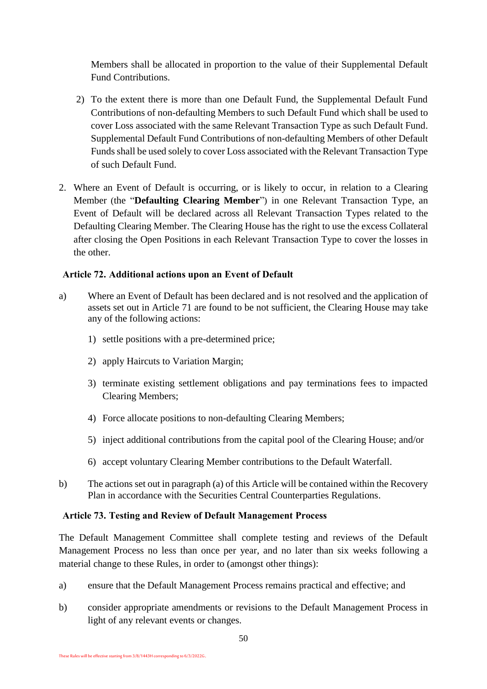Members shall be allocated in proportion to the value of their Supplemental Default Fund Contributions.

- 2) To the extent there is more than one Default Fund, the Supplemental Default Fund Contributions of non-defaulting Members to such Default Fund which shall be used to cover Loss associated with the same Relevant Transaction Type as such Default Fund. Supplemental Default Fund Contributions of non-defaulting Members of other Default Funds shall be used solely to cover Loss associated with the Relevant Transaction Type of such Default Fund.
- 2. Where an Event of Default is occurring, or is likely to occur, in relation to a Clearing Member (the "**Defaulting Clearing Member**") in one Relevant Transaction Type, an Event of Default will be declared across all Relevant Transaction Types related to the Defaulting Clearing Member. The Clearing House has the right to use the excess Collateral after closing the Open Positions in each Relevant Transaction Type to cover the losses in the other.

## **Article 72. Additional actions upon an Event of Default**

- a) Where an Event of Default has been declared and is not resolved and the application of assets set out in Article 71 are found to be not sufficient, the Clearing House may take any of the following actions:
	- 1) settle positions with a pre-determined price;
	- 2) apply Haircuts to Variation Margin;
	- 3) terminate existing settlement obligations and pay terminations fees to impacted Clearing Members;
	- 4) Force allocate positions to non-defaulting Clearing Members;
	- 5) inject additional contributions from the capital pool of the Clearing House; and/or
	- 6) accept voluntary Clearing Member contributions to the Default Waterfall.
- b) The actions set out in paragraph (a) of this Article will be contained within the Recovery Plan in accordance with the Securities Central Counterparties Regulations.

## **Article 73. Testing and Review of Default Management Process**

The Default Management Committee shall complete testing and reviews of the Default Management Process no less than once per year, and no later than six weeks following a material change to these Rules, in order to (amongst other things):

- a) ensure that the Default Management Process remains practical and effective; and
- b) consider appropriate amendments or revisions to the Default Management Process in light of any relevant events or changes.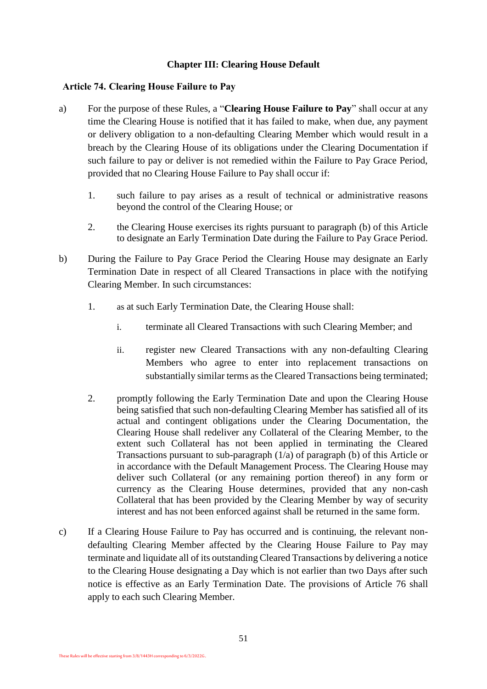#### **Chapter III: Clearing House Default**

#### <span id="page-52-0"></span>**Article 74. Clearing House Failure to Pay**

- a) For the purpose of these Rules, a "**Clearing House Failure to Pay**" shall occur at any time the Clearing House is notified that it has failed to make, when due, any payment or delivery obligation to a non-defaulting Clearing Member which would result in a breach by the Clearing House of its obligations under the Clearing Documentation if such failure to pay or deliver is not remedied within the Failure to Pay Grace Period, provided that no Clearing House Failure to Pay shall occur if:
	- 1. such failure to pay arises as a result of technical or administrative reasons beyond the control of the Clearing House; or
	- 2. the Clearing House exercises its rights pursuant to paragraph (b) of this Article to designate an Early Termination Date during the Failure to Pay Grace Period.
- b) During the Failure to Pay Grace Period the Clearing House may designate an Early Termination Date in respect of all Cleared Transactions in place with the notifying Clearing Member. In such circumstances:
	- 1. as at such Early Termination Date, the Clearing House shall:
		- i. terminate all Cleared Transactions with such Clearing Member; and
		- ii. register new Cleared Transactions with any non-defaulting Clearing Members who agree to enter into replacement transactions on substantially similar terms as the Cleared Transactions being terminated;
	- 2. promptly following the Early Termination Date and upon the Clearing House being satisfied that such non-defaulting Clearing Member has satisfied all of its actual and contingent obligations under the Clearing Documentation, the Clearing House shall redeliver any Collateral of the Clearing Member, to the extent such Collateral has not been applied in terminating the Cleared Transactions pursuant to sub-paragraph  $(1/a)$  of paragraph  $(b)$  of this Article or in accordance with the Default Management Process. The Clearing House may deliver such Collateral (or any remaining portion thereof) in any form or currency as the Clearing House determines, provided that any non-cash Collateral that has been provided by the Clearing Member by way of security interest and has not been enforced against shall be returned in the same form.
- c) If a Clearing House Failure to Pay has occurred and is continuing, the relevant nondefaulting Clearing Member affected by the Clearing House Failure to Pay may terminate and liquidate all of its outstanding Cleared Transactions by delivering a notice to the Clearing House designating a Day which is not earlier than two Days after such notice is effective as an Early Termination Date. The provisions of Article 76 shall apply to each such Clearing Member.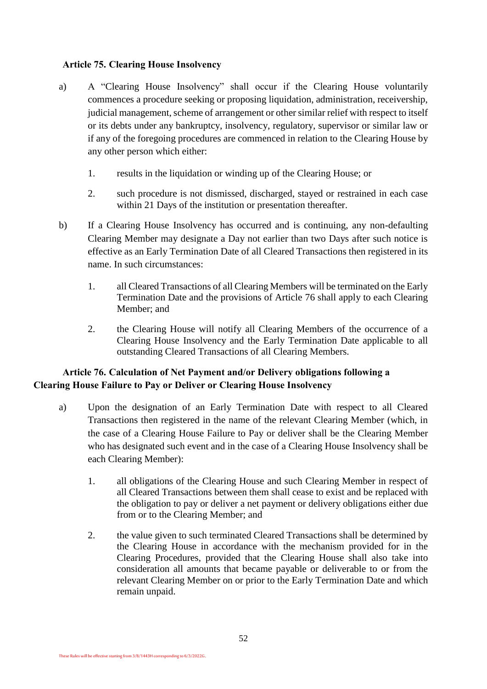#### **Article 75. Clearing House Insolvency**

- a) A "Clearing House Insolvency" shall occur if the Clearing House voluntarily commences a procedure seeking or proposing liquidation, administration, receivership, judicial management, scheme of arrangement or other similar relief with respect to itself or its debts under any bankruptcy, insolvency, regulatory, supervisor or similar law or if any of the foregoing procedures are commenced in relation to the Clearing House by any other person which either:
	- 1. results in the liquidation or winding up of the Clearing House; or
	- 2. such procedure is not dismissed, discharged, stayed or restrained in each case within 21 Days of the institution or presentation thereafter.
- b) If a Clearing House Insolvency has occurred and is continuing, any non-defaulting Clearing Member may designate a Day not earlier than two Days after such notice is effective as an Early Termination Date of all Cleared Transactions then registered in its name. In such circumstances:
	- 1. all Cleared Transactions of all Clearing Members will be terminated on the Early Termination Date and the provisions of Article 76 shall apply to each Clearing Member; and
	- 2. the Clearing House will notify all Clearing Members of the occurrence of a Clearing House Insolvency and the Early Termination Date applicable to all outstanding Cleared Transactions of all Clearing Members.

## **Article 76. Calculation of Net Payment and/or Delivery obligations following a Clearing House Failure to Pay or Deliver or Clearing House Insolvency**

- a) Upon the designation of an Early Termination Date with respect to all Cleared Transactions then registered in the name of the relevant Clearing Member (which, in the case of a Clearing House Failure to Pay or deliver shall be the Clearing Member who has designated such event and in the case of a Clearing House Insolvency shall be each Clearing Member):
	- 1. all obligations of the Clearing House and such Clearing Member in respect of all Cleared Transactions between them shall cease to exist and be replaced with the obligation to pay or deliver a net payment or delivery obligations either due from or to the Clearing Member; and
	- 2. the value given to such terminated Cleared Transactions shall be determined by the Clearing House in accordance with the mechanism provided for in the Clearing Procedures, provided that the Clearing House shall also take into consideration all amounts that became payable or deliverable to or from the relevant Clearing Member on or prior to the Early Termination Date and which remain unpaid.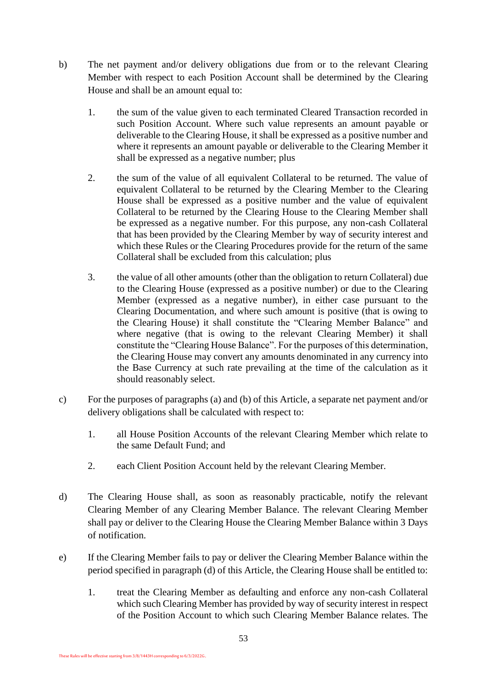- b) The net payment and/or delivery obligations due from or to the relevant Clearing Member with respect to each Position Account shall be determined by the Clearing House and shall be an amount equal to:
	- 1. the sum of the value given to each terminated Cleared Transaction recorded in such Position Account. Where such value represents an amount payable or deliverable to the Clearing House, it shall be expressed as a positive number and where it represents an amount payable or deliverable to the Clearing Member it shall be expressed as a negative number; plus
	- 2. the sum of the value of all equivalent Collateral to be returned. The value of equivalent Collateral to be returned by the Clearing Member to the Clearing House shall be expressed as a positive number and the value of equivalent Collateral to be returned by the Clearing House to the Clearing Member shall be expressed as a negative number. For this purpose, any non-cash Collateral that has been provided by the Clearing Member by way of security interest and which these Rules or the Clearing Procedures provide for the return of the same Collateral shall be excluded from this calculation; plus
	- 3. the value of all other amounts (other than the obligation to return Collateral) due to the Clearing House (expressed as a positive number) or due to the Clearing Member (expressed as a negative number), in either case pursuant to the Clearing Documentation, and where such amount is positive (that is owing to the Clearing House) it shall constitute the "Clearing Member Balance" and where negative (that is owing to the relevant Clearing Member) it shall constitute the "Clearing House Balance". For the purposes of this determination, the Clearing House may convert any amounts denominated in any currency into the Base Currency at such rate prevailing at the time of the calculation as it should reasonably select.
- c) For the purposes of paragraphs (a) and (b) of this Article, a separate net payment and/or delivery obligations shall be calculated with respect to:
	- 1. all House Position Accounts of the relevant Clearing Member which relate to the same Default Fund; and
	- 2. each Client Position Account held by the relevant Clearing Member.
- d) The Clearing House shall, as soon as reasonably practicable, notify the relevant Clearing Member of any Clearing Member Balance. The relevant Clearing Member shall pay or deliver to the Clearing House the Clearing Member Balance within 3 Days of notification.
- e) If the Clearing Member fails to pay or deliver the Clearing Member Balance within the period specified in paragraph (d) of this Article, the Clearing House shall be entitled to:
	- 1. treat the Clearing Member as defaulting and enforce any non-cash Collateral which such Clearing Member has provided by way of security interest in respect of the Position Account to which such Clearing Member Balance relates. The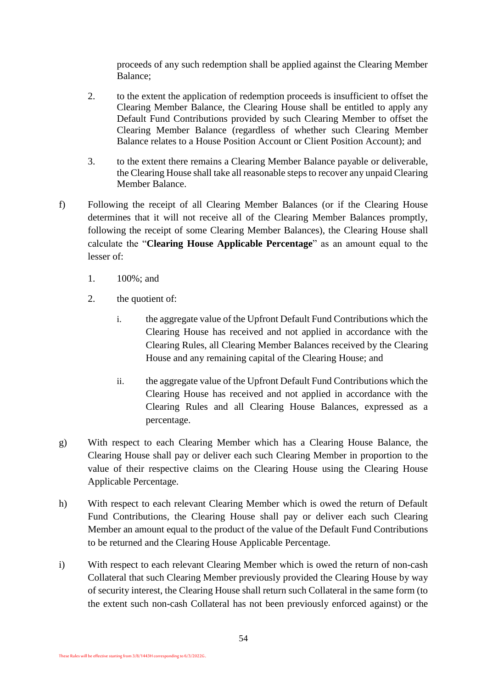proceeds of any such redemption shall be applied against the Clearing Member Balance;

- 2. to the extent the application of redemption proceeds is insufficient to offset the Clearing Member Balance, the Clearing House shall be entitled to apply any Default Fund Contributions provided by such Clearing Member to offset the Clearing Member Balance (regardless of whether such Clearing Member Balance relates to a House Position Account or Client Position Account); and
- 3. to the extent there remains a Clearing Member Balance payable or deliverable, the Clearing House shall take all reasonable steps to recover any unpaid Clearing Member Balance.
- f) Following the receipt of all Clearing Member Balances (or if the Clearing House determines that it will not receive all of the Clearing Member Balances promptly, following the receipt of some Clearing Member Balances), the Clearing House shall calculate the "**Clearing House Applicable Percentage**" as an amount equal to the lesser of:
	- 1. 100%; and
	- 2. the quotient of:
		- i. the aggregate value of the Upfront Default Fund Contributions which the Clearing House has received and not applied in accordance with the Clearing Rules, all Clearing Member Balances received by the Clearing House and any remaining capital of the Clearing House; and
		- ii. the aggregate value of the Upfront Default Fund Contributions which the Clearing House has received and not applied in accordance with the Clearing Rules and all Clearing House Balances, expressed as a percentage.
- g) With respect to each Clearing Member which has a Clearing House Balance, the Clearing House shall pay or deliver each such Clearing Member in proportion to the value of their respective claims on the Clearing House using the Clearing House Applicable Percentage.
- h) With respect to each relevant Clearing Member which is owed the return of Default Fund Contributions, the Clearing House shall pay or deliver each such Clearing Member an amount equal to the product of the value of the Default Fund Contributions to be returned and the Clearing House Applicable Percentage.
- i) With respect to each relevant Clearing Member which is owed the return of non-cash Collateral that such Clearing Member previously provided the Clearing House by way of security interest, the Clearing House shall return such Collateral in the same form (to the extent such non-cash Collateral has not been previously enforced against) or the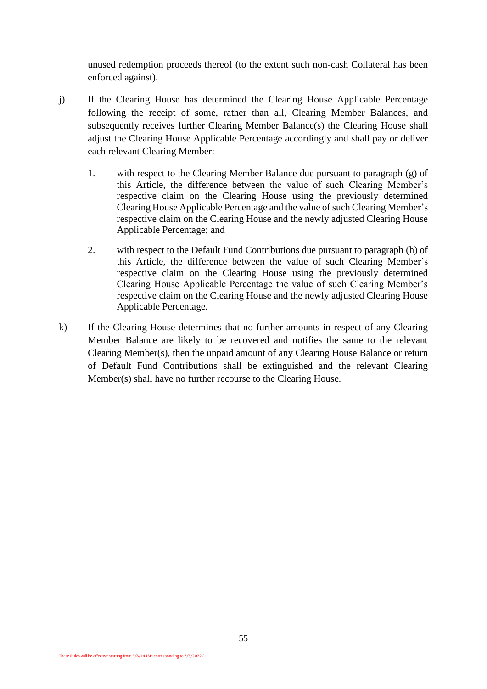unused redemption proceeds thereof (to the extent such non-cash Collateral has been enforced against).

- j) If the Clearing House has determined the Clearing House Applicable Percentage following the receipt of some, rather than all, Clearing Member Balances, and subsequently receives further Clearing Member Balance(s) the Clearing House shall adjust the Clearing House Applicable Percentage accordingly and shall pay or deliver each relevant Clearing Member:
	- 1. with respect to the Clearing Member Balance due pursuant to paragraph (g) of this Article, the difference between the value of such Clearing Member's respective claim on the Clearing House using the previously determined Clearing House Applicable Percentage and the value of such Clearing Member's respective claim on the Clearing House and the newly adjusted Clearing House Applicable Percentage; and
	- 2. with respect to the Default Fund Contributions due pursuant to paragraph (h) of this Article, the difference between the value of such Clearing Member's respective claim on the Clearing House using the previously determined Clearing House Applicable Percentage the value of such Clearing Member's respective claim on the Clearing House and the newly adjusted Clearing House Applicable Percentage.
- k) If the Clearing House determines that no further amounts in respect of any Clearing Member Balance are likely to be recovered and notifies the same to the relevant Clearing Member(s), then the unpaid amount of any Clearing House Balance or return of Default Fund Contributions shall be extinguished and the relevant Clearing Member(s) shall have no further recourse to the Clearing House.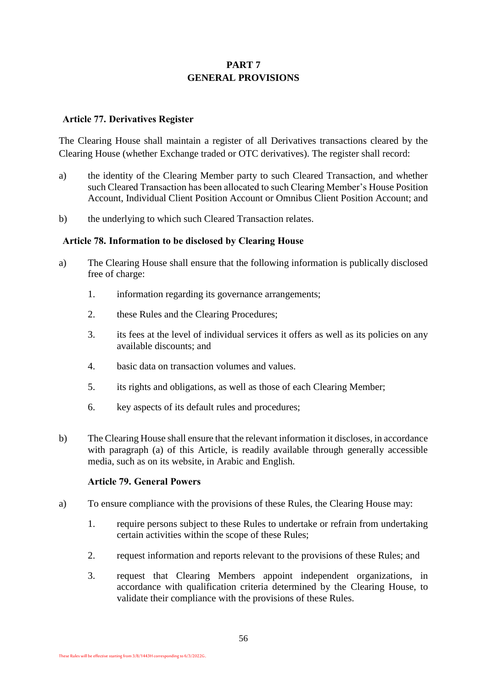## **PART 7 GENERAL PROVISIONS**

#### <span id="page-57-0"></span>**Article 77. Derivatives Register**

The Clearing House shall maintain a register of all Derivatives transactions cleared by the Clearing House (whether Exchange traded or OTC derivatives). The register shall record:

- a) the identity of the Clearing Member party to such Cleared Transaction, and whether such Cleared Transaction has been allocated to such Clearing Member's House Position Account, Individual Client Position Account or Omnibus Client Position Account; and
- b) the underlying to which such Cleared Transaction relates.

#### **Article 78. Information to be disclosed by Clearing House**

- a) The Clearing House shall ensure that the following information is publically disclosed free of charge:
	- 1. information regarding its governance arrangements;
	- 2. these Rules and the Clearing Procedures;
	- 3. its fees at the level of individual services it offers as well as its policies on any available discounts; and
	- 4. basic data on transaction volumes and values.
	- 5. its rights and obligations, as well as those of each Clearing Member;
	- 6. key aspects of its default rules and procedures;
- b) The Clearing House shall ensure that the relevant information it discloses, in accordance with paragraph (a) of this Article, is readily available through generally accessible media, such as on its website, in Arabic and English.

#### **Article 79. General Powers**

- a) To ensure compliance with the provisions of these Rules, the Clearing House may:
	- 1. require persons subject to these Rules to undertake or refrain from undertaking certain activities within the scope of these Rules;
	- 2. request information and reports relevant to the provisions of these Rules; and
	- 3. request that Clearing Members appoint independent organizations, in accordance with qualification criteria determined by the Clearing House, to validate their compliance with the provisions of these Rules.